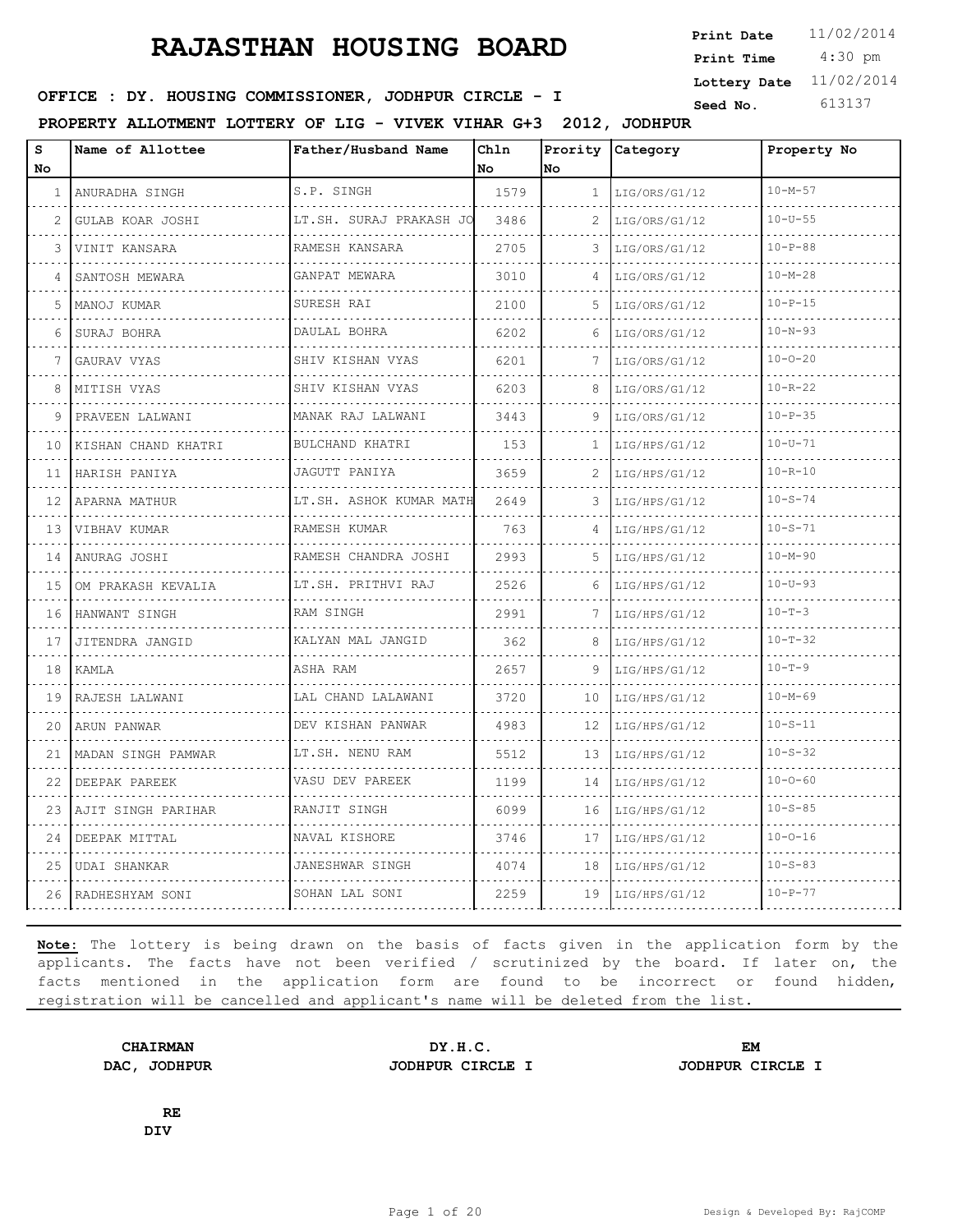4:30 pm **Print Date**  $11/02/2014$ **Print Time Lottery Date** 11/02/2014

### **SEED IN SEED IN SEED ASSESSED ASSESSED ASSESSED ASSESSED ASSESSED AT A Seed No.** 613137

**PROPERTY ALLOTMENT LOTTERY OF LIG - VIVEK VIHAR G+3 2012, JODHPUR**

| s<br>No | Name of Allottee    | Father/Husband Name                  | Chln<br>l No | No           | Prority Category   | Property No   |
|---------|---------------------|--------------------------------------|--------------|--------------|--------------------|---------------|
| 1       | ANURADHA SINGH<br>. | S.P. SINGH                           | 1579         | $\mathbf{1}$ | LIG/ORS/G1/12      | $10 - M - 57$ |
| 2       | GULAB KOAR JOSHI    | LT.SH. SURAJ PRAKASH JO              | 3486         | 2            | LIG/ORS/G1/12      | $10 - U - 55$ |
| 3       | VINIT KANSARA       | RAMESH KANSARA                       | 2705         | 3            | LIG/ORS/G1/12      | $10 - P - 88$ |
| 4       | SANTOSH MEWARA      | GANPAT MEWARA<br>a dia dia dia dia 4 | 3010         | $\Delta$     | LIG/ORS/G1/12<br>. | $10 - M - 28$ |
| 5       | MANOJ KUMAR         | SURESH RAI                           | 2100         | 5.           | LIG/ORS/G1/12      | $10 - P - 15$ |
| 6       | SURAJ BOHRA         | DAULAL BOHRA                         | 6202         | 6            | LIG/ORS/G1/12      | $10 - N - 93$ |
| 7       | GAURAV VYAS         | SHIV KISHAN VYAS                     | 6201         | 7            | LIG/ORS/G1/12      | $10 - 0 - 20$ |
| 8       | MITISH VYAS         | SHIV KISHAN VYAS<br><u>.</u>         | 6203         | 8            | LIG/ORS/G1/12      | $10 - R - 22$ |
| 9       | PRAVEEN LALWANI     | MANAK RAJ LALWANI                    | 3443         | 9            | LIG/ORS/G1/12      | $10 - P - 35$ |
| 10      | KISHAN CHAND KHATRI | BULCHAND KHATRI<br>.                 | 153          | 1            | LIG/HPS/G1/12      | $10 - U - 71$ |
| 11      | HARISH PANIYA       | JAGUTT PANIYA                        | 3659         | 2            | LIG/HPS/G1/12      | $10 - R - 10$ |
| 12      | APARNA MATHUR       | LT.SH. ASHOK KUMAR MATH              | 2649         | 3            | LIG/HPS/G1/12      | $10 - S - 74$ |
| 13      | VIBHAV KUMAR        | RAMESH KUMAR<br>.                    | 763          | 4            | LIG/HPS/G1/12      | $10 - S - 71$ |
| 14      | ANURAG JOSHI        | RAMESH CHANDRA JOSHI                 | 2993         | 5.           | LIG/HPS/G1/12      | $10 - M - 90$ |
| 15      | OM PRAKASH KEVALIA  | LT.SH. PRITHVI RAJ                   | 2526         | 6            | LIG/HPS/G1/12      | $10 - U - 93$ |
| 16      | HANWANT SINGH       | RAM SINGH                            | 2991         | 7            | LIG/HPS/G1/12      | $10 - T - 3$  |
| 17      | JITENDRA JANGID     | KALYAN MAL JANGID                    | 362          | 8            | LIG/HPS/G1/12      | $10 - T - 32$ |
| 18      | KAMLA               | ASHA RAM                             | 2657         | 9            | LIG/HPS/G1/12      | $10 - T - 9$  |
| 19      | RAJESH LALWANI      | LAL CHAND LALAWANI                   | 3720         | 10           | LIG/HPS/G1/12      | $10 - M - 69$ |
| 20      | ARUN PANWAR         | DEV KISHAN PANWAR                    | 4983         | 12           | LIG/HPS/G1/12      | $10 - S - 11$ |
| 21      | MADAN SINGH PAMWAR  | LT.SH. NENU RAM                      | 5512         | 13           | LIG/HPS/G1/12      | $10 - S - 32$ |
| 22      | DEEPAK PAREEK       | VASU DEV PAREEK                      | 1199         | 14           | LIG/HPS/G1/12      | $10 - 0 - 60$ |
| 23      | AJIT SINGH PARIHAR  | RANJIT SINGH                         | 6099         | 16           | LIG/HPS/G1/12      | $10 - S - 85$ |
| 24      | DEEPAK MITTAL       | NAVAL KISHORE                        | 3746         | 17           | LIG/HPS/G1/12      | $10 - 0 - 16$ |
| 25      | UDAI SHANKAR        | JANESHWAR SINGH                      | 4074         | 18           | LIG/HPS/G1/12      | $10 - S - 83$ |
| 26      | RADHESHYAM SONI     | SOHAN LAL SONI                       | 2259         | 19           | LIG/HPS/G1/12      | $10 - P - 77$ |

**Note:** The lottery is being drawn on the basis of facts given in the application form by the applicants. The facts have not been verified / scrutinized by the board. If later on, the facts mentioned in the application form are found to be incorrect or found hidden, registration will be cancelled and applicant's name will be deleted from the list.

**CHAIRMAN DY.H.C. EM DAC, JODHPUR JODHPUR CIRCLE I JODHPUR CIRCLE I**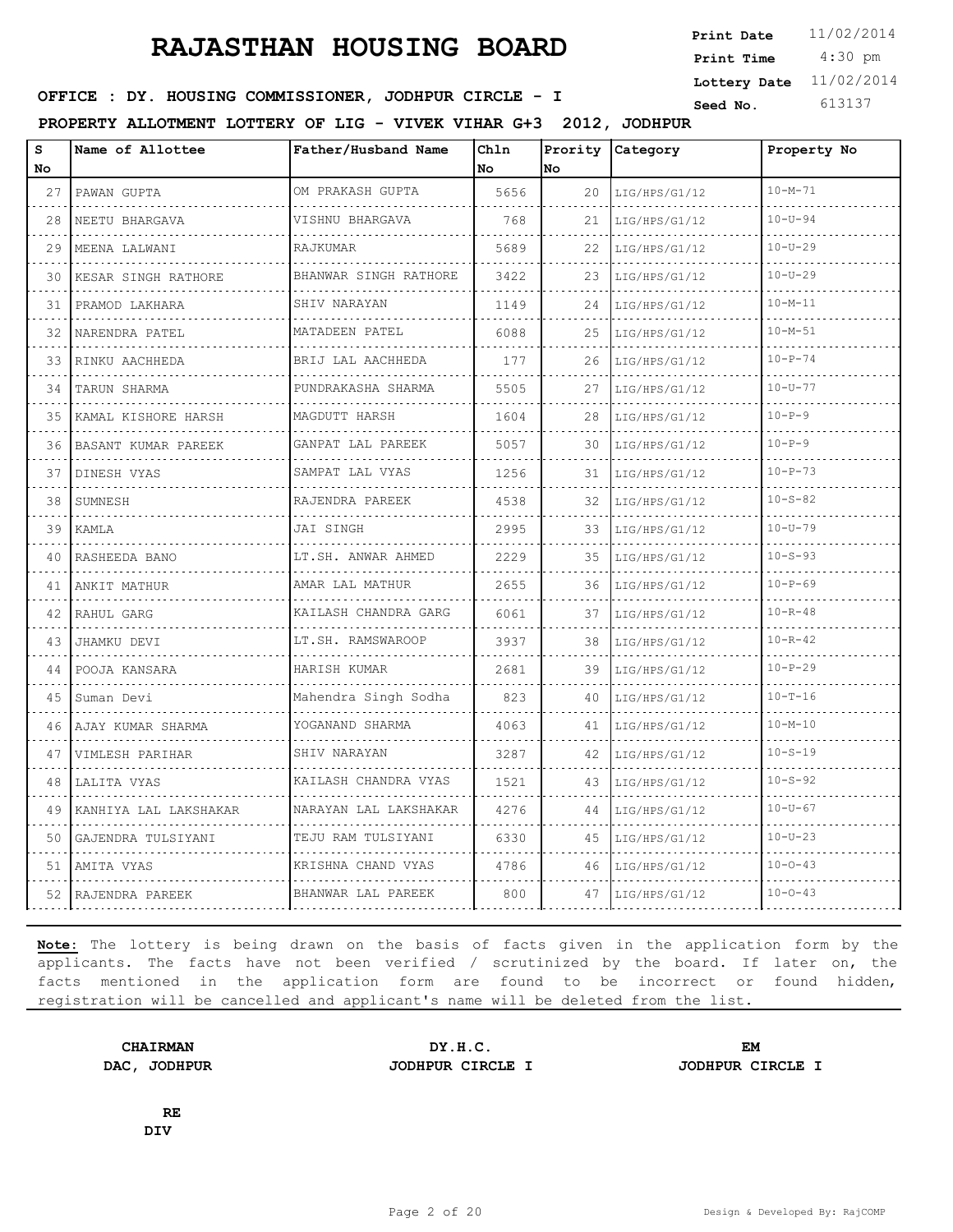4:30 pm **Print Date**  $11/02/2014$ **Print Time Lottery Date** 11/02/2014

### **SEED IN SEED IN SEED ASSESSED ASSESSED ASSESSED ASSESSED ASSESSED AT A Seed No.** 613137

**PROPERTY ALLOTMENT LOTTERY OF LIG - VIVEK VIHAR G+3 2012, JODHPUR**

| s<br>No | Name of Allottee          | Father/Husband Name       | Chln<br>No. | lno. | Prority Category | Property No   |
|---------|---------------------------|---------------------------|-------------|------|------------------|---------------|
| 27      | PAWAN GUPTA               | OM PRAKASH GUPTA          | 5656        | 20   | LIG/HPS/G1/12    | $10 - M - 71$ |
| 28      | .<br>NEETU BHARGAVA       | .<br>VISHNU BHARGAVA      | 768         | 21   | LIG/HPS/G1/12    | $10 - U - 94$ |
| 29      | MEENA LALWANI             | RAJKUMAR                  | 5689        | 22   | LIG/HPS/G1/12    | $10 - U - 29$ |
| 30      | KESAR SINGH RATHORE       | BHANWAR SINGH RATHORE     | 3422        | 23   | LIG/HPS/G1/12    | $10 - U - 29$ |
| 31      | PRAMOD LAKHARA            | SHIV NARAYAN              | 1149        | 24   | LIG/HPS/G1/12    | $10 - M - 11$ |
| 32      | NARENDRA PATEL            | MATADEEN PATEL            | 6088        | 25   | LIG/HPS/G1/12    | $10 - M - 51$ |
| 33      | RINKU AACHHEDA            | BRIJ LAL AACHHEDA         | 177         | 26   | LIG/HPS/G1/12    | $10 - P - 74$ |
| 34      | TARUN SHARMA              | PUNDRAKASHA SHARMA        | 5505        | 27   | LIG/HPS/G1/12    | $10 - U - 77$ |
| 35      | KAMAL KISHORE HARSH       | .<br>MAGDUTT HARSH        | 1604        | 28   | LIG/HPS/G1/12    | $10 - P - 9$  |
| 36.     | .<br>IBASANT KUMAR PAREEK | GANPAT LAL PAREEK<br>.    | 5057        | 30   | LIG/HPS/G1/12    | $10 - P - 9$  |
| 37      | DINESH VYAS               | SAMPAT LAL VYAS           | 1256        | 31   | LIG/HPS/G1/12    | $10 - P - 73$ |
| 38      | SUMNESH                   | RAJENDRA PAREEK           | 4538        | 32   | LIG/HPS/G1/12    | $10 - S - 82$ |
| 39      | KAMLA                     | JAI SINGH                 | 2995        | 33   | LIG/HPS/G1/12    | $10 - U - 79$ |
| 40      | RASHEEDA BANO             | LT.SH. ANWAR AHMED        | 2229        | 35   | LIG/HPS/G1/12    | $10 - S - 93$ |
| 41      | ANKIT MATHUR              | AMAR LAL MATHUR<br>.      | 2655        | 36   | LIG/HPS/G1/12    | $10 - P - 69$ |
| 42      | RAHUL GARG                | KAILASH CHANDRA GARG<br>. | 6061        | 37   | LIG/HPS/G1/12    | $10 - R - 48$ |
| 43      | JHAMKU DEVI               | LT.SH. RAMSWAROOP         | 3937        | 38   | LIG/HPS/G1/12    | $10 - R - 42$ |
| 44      | POOJA KANSARA             | HARISH KUMAR              | 2681        | 39   | LIG/HPS/G1/12    | $10 - P - 29$ |
| 45      | Suman Devi                | Mahendra Singh Sodha      | 823         | 40   | LIG/HPS/G1/12    | $10 - T - 16$ |
| 46      | AJAY KUMAR SHARMA         | YOGANAND SHARMA           | 4063        | 41   | LIG/HPS/G1/12    | $10 - M - 10$ |
| 47      | VIMLESH PARIHAR<br>.      | SHIV NARAYAN<br>.         | 3287        | 42   | LIG/HPS/G1/12    | $10 - S - 19$ |
| 48      | LALITA VYAS               | KAILASH CHANDRA VYAS      | 1521        | 43   | LIG/HPS/G1/12    | $10 - S - 92$ |
| 49      | KANHIYA LAL LAKSHAKAR     | NARAYAN LAL LAKSHAKAR     | 4276        | 44   | LIG/HPS/G1/12    | $10 - U - 67$ |
| 50      | GAJENDRA TULSIYANI<br>.   | TEJU RAM TULSIYANI        | 6330        | 45   | LIG/HPS/G1/12    | $10-U-23$     |
| 51      | AMITA VYAS                | KRISHNA CHAND VYAS        | 4786        | 46   | LIG/HPS/G1/12    | $10 - 0 - 43$ |
|         | 52   RAJENDRA PAREEK      | BHANWAR LAL PAREEK        | 800         | 47   | LIG/HPS/G1/12    | $10 - 0 - 43$ |

**Note:** The lottery is being drawn on the basis of facts given in the application form by the applicants. The facts have not been verified / scrutinized by the board. If later on, the facts mentioned in the application form are found to be incorrect or found hidden, registration will be cancelled and applicant's name will be deleted from the list.

**CHAIRMAN DY.H.C. EM DAC, JODHPUR JODHPUR CIRCLE I JODHPUR CIRCLE I**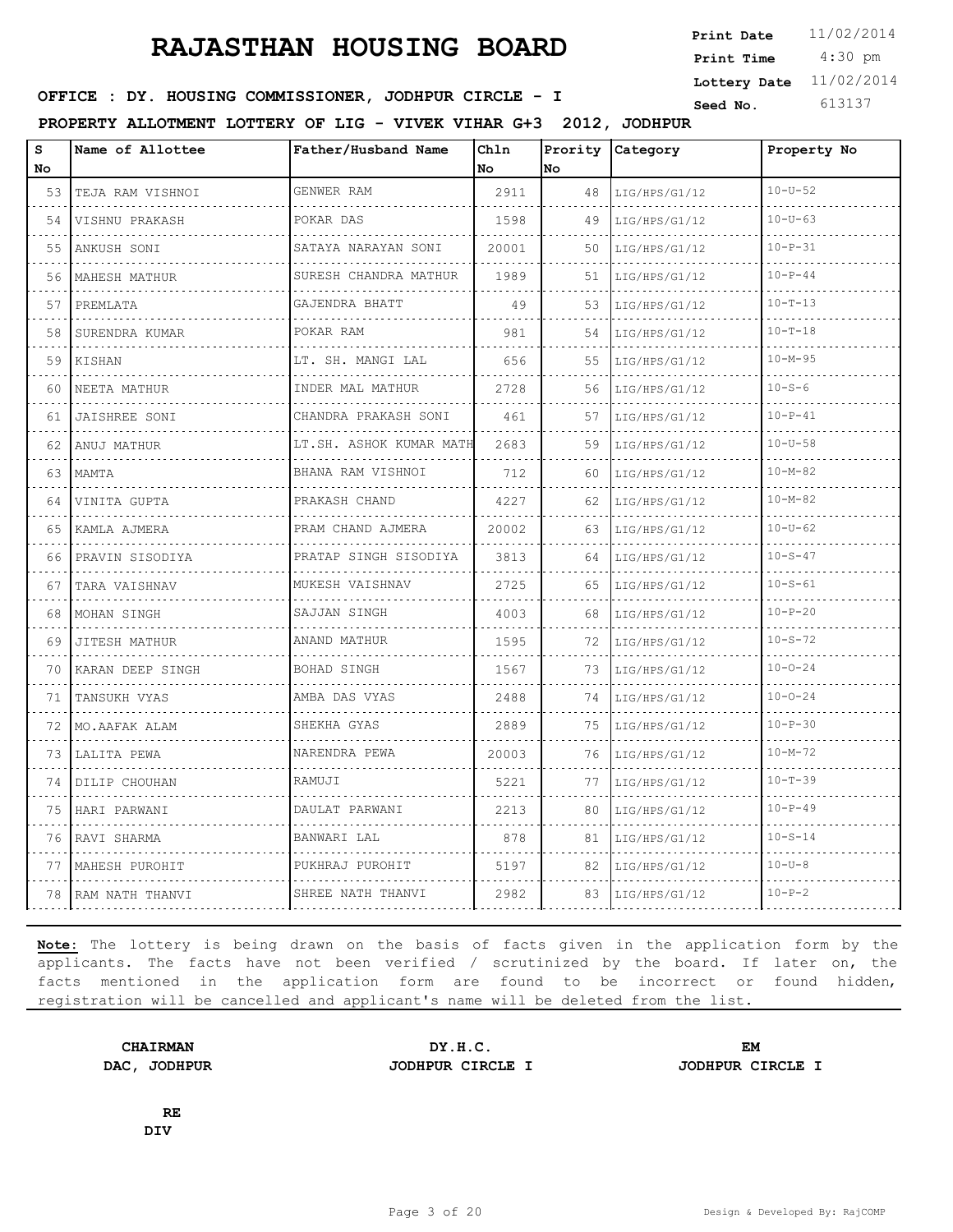4:30 pm **Print Date**  $11/02/2014$ **Print Time Lottery Date** 11/02/2014

### **SEED IN SEED IN SEED ASSESSED ASSESSED ASSESSED ASSESSED ASSESSED AT A Seed No.** 613137

**PROPERTY ALLOTMENT LOTTERY OF LIG - VIVEK VIHAR G+3 2012, JODHPUR**

| S<br>No | Name of Allottee     | Father/Husband Name          | Chln<br>No | Prority<br>No | Category           | Property No   |
|---------|----------------------|------------------------------|------------|---------------|--------------------|---------------|
| 53      | TEJA RAM VISHNOI     | GENWER RAM                   | 2911       | 48            | LIG/HPS/G1/12      | $10 - U - 52$ |
| 54      | .<br>VISHNU PRAKASH  | POKAR DAS                    | 1598       | 49            | .<br>LIG/HPS/G1/12 | $10 - U - 63$ |
| 55      | ANKUSH SONI          | SATAYA NARAYAN SONI          | 20001      | 50            | LIG/HPS/G1/12      | $10 - P - 31$ |
| 56      | MAHESH MATHUR        | SURESH CHANDRA MATHUR        | 1989       | 51            | LIG/HPS/G1/12      | $10-P-44$     |
| 57      | PREMLATA             | .<br>GAJENDRA BHATT          | 49         | 53            | LIG/HPS/G1/12      | $10 - T - 13$ |
| 58      | SURENDRA KUMAR       | POKAR RAM                    | 981        | 54            | LIG/HPS/G1/12      | $10 - T - 18$ |
| 59      | KISHAN               | LT. SH. MANGI LAL            | 656        | 55            | LIG/HPS/G1/12      | $10 - M - 95$ |
| 60      | NEETA MATHUR         | .<br>INDER MAL MATHUR        | 2728       | 56            | LIG/HPS/G1/12      | $10 - S - 6$  |
| 61      | <b>JAISHREE SONI</b> | CHANDRA PRAKASH SONI         | 461        | 57            | LIG/HPS/G1/12      | $10 - P - 41$ |
| 62      | ANUJ MATHUR          | LT.SH. ASHOK KUMAR MATH<br>. | 2683       | 59            | LIG/HPS/G1/12      | $10 - U - 58$ |
| 63      | MAMTA                | BHANA RAM VISHNOI            | 712        | 60            | LIG/HPS/G1/12      | $10 - M - 82$ |
| 64      | VINITA GUPTA         | .<br>PRAKASH CHAND           | 4227       | 62            | LIG/HPS/G1/12      | $10 - M - 82$ |
| 65      | KAMLA AJMERA         | PRAM CHAND AJMERA<br>.       | 20002      | 63            | LIG/HPS/G1/12      | $10 - U - 62$ |
| 66      | PRAVIN SISODIYA      | PRATAP SINGH SISODIYA        | 3813       | 64            | LIG/HPS/G1/12      | $10 - S - 47$ |
| 67      | TARA VAISHNAV        | MUKESH VAISHNAV              | 2725       | 65            | LIG/HPS/G1/12      | $10 - S - 61$ |
| 68      | MOHAN SINGH          | SAJJAN SINGH<br>.            | 4003       | 68            | LIG/HPS/G1/12      | $10 - P - 20$ |
| 69      | JITESH MATHUR        | ANAND MATHUR                 | 1595       | 72            | LIG/HPS/G1/12      | $10 - S - 72$ |
| 70      | KARAN DEEP SINGH     | <b>BOHAD SINGH</b>           | 1567       | 73            | LIG/HPS/G1/12      | $10 - 0 - 24$ |
| 71      | TANSUKH VYAS         | AMBA DAS VYAS                | 2488       | 74            | LIG/HPS/G1/12      | $10 - 0 - 24$ |
| 72      | MO.AAFAK ALAM        | SHEKHA GYAS                  | 2889       | 75            | LIG/HPS/G1/12      | $10 - P - 30$ |
| 73      | LALITA PEWA          | NARENDRA PEWA                | 20003      | 76            | LIG/HPS/G1/12      | $10 - M - 72$ |
| 74      | DILIP CHOUHAN        | RAMUJI                       | 5221       | 77            | LIG/HPS/G1/12      | $10 - T - 39$ |
| 75      | HARI PARWANI         | DAULAT PARWANI               | 2213       | 80            | LIG/HPS/G1/12      | $10 - P - 49$ |
| 76      | RAVI SHARMA          | BANWARI LAL                  | 878        | 81            | LIG/HPS/G1/12      | $10 - S - 14$ |
| 77      | MAHESH PUROHIT       | PUKHRAJ PUROHIT              | 5197       | 82            | LIG/HPS/G1/12      | $10 - U - 8$  |
| 78      | RAM NATH THANVI      | SHREE NATH THANVI            | 2982       | 83            | LIG/HPS/G1/12      | $10-P-2$      |

**Note:** The lottery is being drawn on the basis of facts given in the application form by the applicants. The facts have not been verified / scrutinized by the board. If later on, the facts mentioned in the application form are found to be incorrect or found hidden, registration will be cancelled and applicant's name will be deleted from the list.

**CHAIRMAN DY.H.C. EM DAC, JODHPUR JODHPUR CIRCLE I JODHPUR CIRCLE I**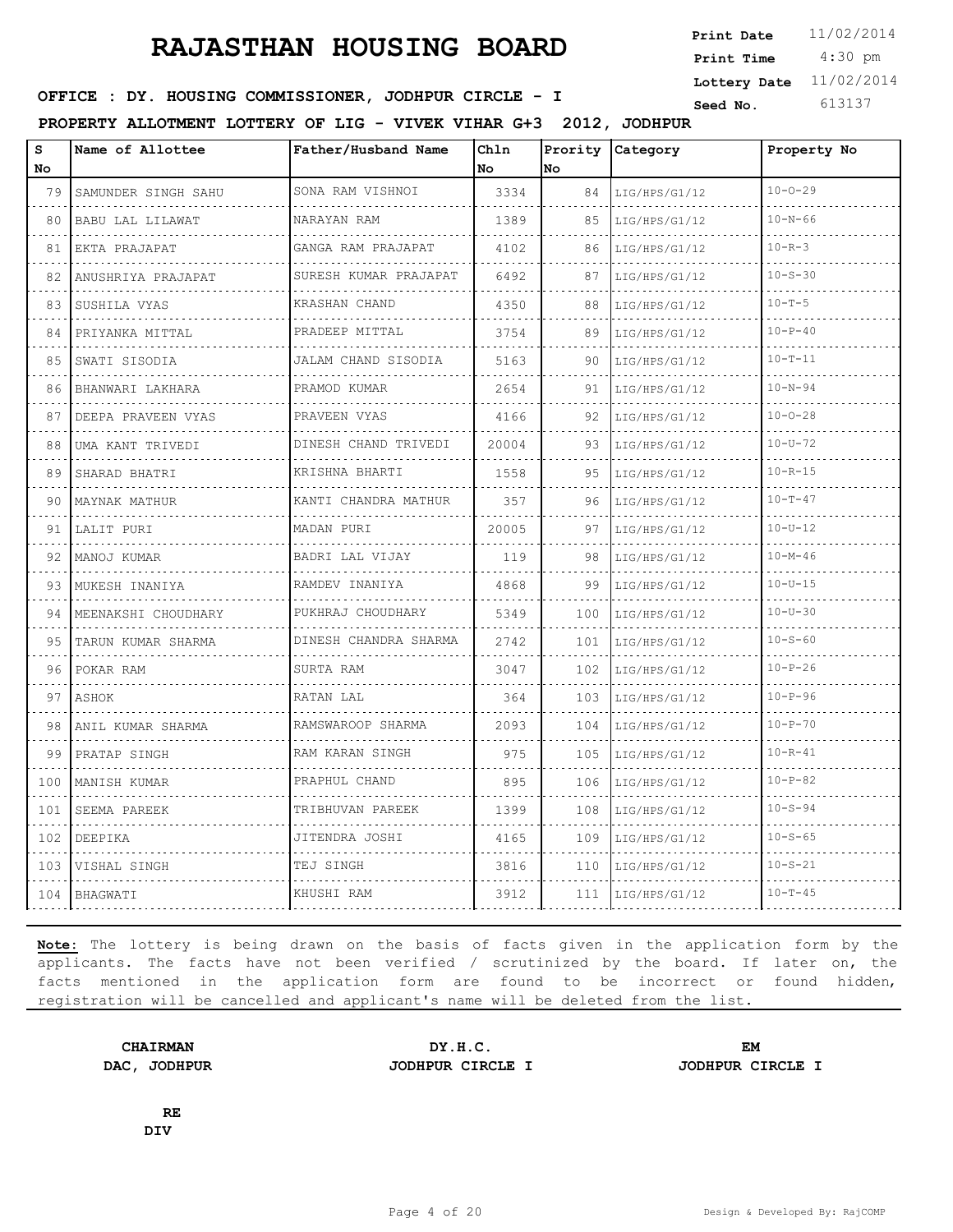4:30 pm **Print Date**  $11/02/2014$ **Print Time Lottery Date** 11/02/2014

### **SEED IN SEED IN SEED ASSESSED ASSESSED ASSESSED ASSESSED ASSESSED AT A Seed No.** 613137

**PROPERTY ALLOTMENT LOTTERY OF LIG - VIVEK VIHAR G+3 2012, JODHPUR**

| s<br>No | Name of Allottee      | Father/Husband Name           | Ch1n<br>No | Prority<br>No | Category      | Property No   |
|---------|-----------------------|-------------------------------|------------|---------------|---------------|---------------|
| 79      | SAMUNDER SINGH SAHU   | SONA RAM VISHNOI              | 3334       | 84            | LIG/HPS/G1/12 | $10 - 0 - 29$ |
| 80      | BABU LAL LILAWAT      | NARAYAN RAM                   | 1389       | 85            | LIG/HPS/G1/12 | $10 - N - 66$ |
| 81      | EKTA PRAJAPAT         | GANGA RAM PRAJAPAT            | 4102       | 86            | LIG/HPS/G1/12 | $10 - R - 3$  |
| 82      | ANUSHRIYA PRAJAPAT    | SURESH KUMAR PRAJAPAT         | 6492       | 87            | LIG/HPS/G1/12 | $10 - S - 30$ |
| 83      | SUSHILA VYAS          | .<br>KRASHAN CHAND            | 4350       | 88            | LIG/HPS/G1/12 | $10 - T - 5$  |
| 84      | PRIYANKA MITTAL       | PRADEEP MITTAL                | 3754       | 89            | LIG/HPS/G1/12 | $10 - P - 40$ |
| 85      | SWATI SISODIA<br>.    | JALAM CHAND SISODIA<br>.      | 5163       | 90            | LIG/HPS/G1/12 | $10 - T - 11$ |
| 86      | BHANWARI LAKHARA      | PRAMOD KUMAR<br>2.2.2.2.2.2.1 | 2654       | 91            | LIG/HPS/G1/12 | $10 - N - 94$ |
| 87      | DEEPA PRAVEEN VYAS    | PRAVEEN VYAS                  | 4166       | 92            | LIG/HPS/G1/12 | $10 - 0 - 28$ |
| 88      | UMA KANT TRIVEDI<br>. | DINESH CHAND TRIVEDI<br>.     | 20004      | 93            | LIG/HPS/G1/12 | $10 - U - 72$ |
| 89      | SHARAD BHATRI         | KRISHNA BHARTI                | 1558       | 95            | LIG/HPS/G1/12 | $10 - R - 15$ |
| 90      | MAYNAK MATHUR         | KANTI CHANDRA MATHUR          | 357        | 96            | LIG/HPS/G1/12 | $10 - T - 47$ |
| 91      | LALIT PURI            | MADAN PURI                    | 20005      | 97            | LIG/HPS/G1/12 | $10 - U - 12$ |
| 92      | MANOJ KUMAR           | BADRI LAL VIJAY               | 119        | 98            | LIG/HPS/G1/12 | $10 - M - 46$ |
| 93      | MUKESH INANIYA        | RAMDEV INANIYA                | 4868       | 99            | LIG/HPS/G1/12 | $10 - U - 15$ |
| 94      | MEENAKSHI CHOUDHARY   | PUKHRAJ CHOUDHARY             | 5349       | 100           | LIG/HPS/G1/12 | $10 - U - 30$ |
| 95      | TARUN KUMAR SHARMA    | DINESH CHANDRA SHARMA         | 2742       | 101           | LIG/HPS/G1/12 | $10 - S - 60$ |
| 96      | POKAR RAM             | SURTA RAM                     | 3047       | 102           | LIG/HPS/G1/12 | $10 - P - 26$ |
| 97      | <b>ASHOK</b>          | RATAN LAL                     | 364        | 103           | LIG/HPS/G1/12 | $10 - P - 96$ |
| 98      | ANIL KUMAR SHARMA     | RAMSWAROOP SHARMA             | 2093       | 104           | LIG/HPS/G1/12 | $10 - P - 70$ |
| 99      | PRATAP SINGH          | RAM KARAN SINGH<br>.          | 975        | 105           | LIG/HPS/G1/12 | $10 - R - 41$ |
| 100     | MANISH KUMAR          | PRAPHUL CHAND                 | 895        | 106           | LIG/HPS/G1/12 | $10 - P - 82$ |
| 101     | SEEMA PAREEK          | TRIBHUVAN PAREEK              | 1399       | 108           | LIG/HPS/G1/12 | $10 - S - 94$ |
| 102     | DEEPIKA               | JITENDRA JOSHI                | 4165       | 109           | LIG/HPS/G1/12 | $10 - S - 65$ |
| 103     | VISHAL SINGH          | TEJ SINGH                     | 3816       | 110           | LIG/HPS/G1/12 | $10 - S - 21$ |
|         | 104 BHAGWATI          | KHUSHI RAM                    | 3912       | 111           | LIG/HPS/G1/12 | $10 - T - 45$ |

**Note:** The lottery is being drawn on the basis of facts given in the application form by the applicants. The facts have not been verified / scrutinized by the board. If later on, the facts mentioned in the application form are found to be incorrect or found hidden, registration will be cancelled and applicant's name will be deleted from the list.

**DAC, JODHPUR JODHPUR CIRCLE I JODHPUR CIRCLE I**

**CHAIRMAN DY.H.C. EM**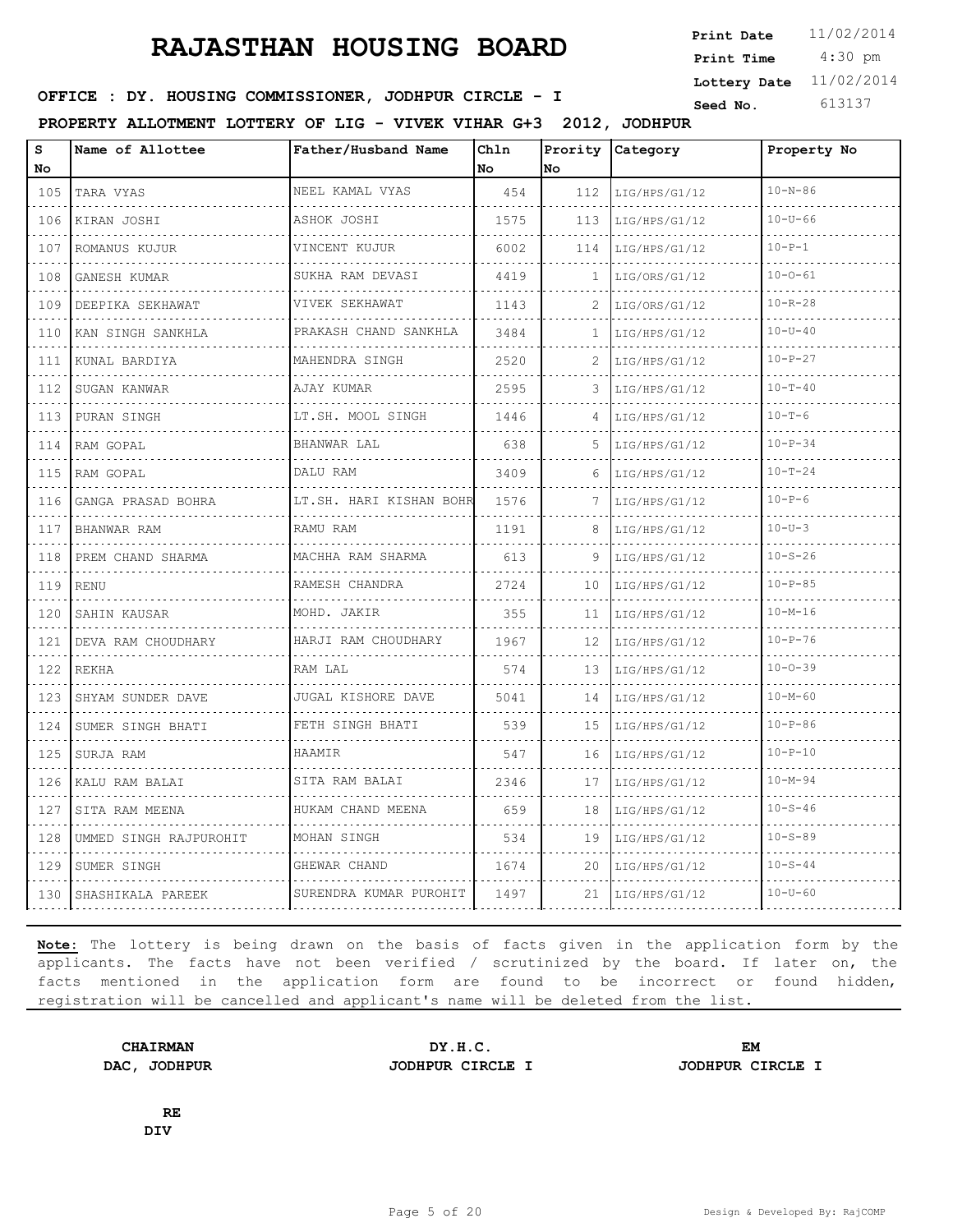4:30 pm **Print Date**  $11/02/2014$ **Print Time Lottery Date** 11/02/2014

### **SEED IN SEED IN SEED ASSESSED ASSESSED ASSESSED ASSESSED ASSESSED AT A Seed No.** 613137

**PROPERTY ALLOTMENT LOTTERY OF LIG - VIVEK VIHAR G+3 2012, JODHPUR**

| s<br>No                            | Name of Allottee                    | Father/Husband Name     | Ch1n<br>No | Prority<br>lno. | Category           | Property No   |
|------------------------------------|-------------------------------------|-------------------------|------------|-----------------|--------------------|---------------|
| 105                                | TARA VYAS                           | NEEL KAMAL VYAS         | 454        | 112             | LIG/HPS/G1/12      | $10 - N - 86$ |
| $\sim$ $\sim$ $\sim$ $\sim$<br>106 | .<br>KIRAN JOSHI                    | ASHOK JOSHI             | 1575       | 113             | .<br>LIG/HPS/G1/12 | $10 - U - 66$ |
| 107                                | ROMANUS KUJUR                       | VINCENT KUJUR           | 6002       | 114             | LIG/HPS/G1/12      | $10 - P - 1$  |
| 108                                | GANESH KUMAR                        | SUKHA RAM DEVASI        | 4419       | 1               | LIG/ORS/G1/12      | $10 - 0 - 61$ |
| .<br>109                           | .<br>DEEPIKA SEKHAWAT               | .<br>VIVEK SEKHAWAT     | 1143       | 2               | LIG/ORS/G1/12      | $10 - R - 28$ |
| 110                                | KAN SINGH SANKHLA                   | PRAKASH CHAND SANKHLA   | 3484       | 1               | LIG/HPS/G1/12      | $10 - U - 40$ |
| 111                                | KUNAL BARDIYA                       | MAHENDRA SINGH          | 2520       | 2               | LIG/HPS/G1/12      | $10 - P - 27$ |
| $\sim$ $\sim$ $\sim$ $\sim$<br>112 | .<br>SUGAN KANWAR                   | AJAY KUMAR              | 2595       | 3               | LIG/HPS/G1/12      | $10 - T - 40$ |
| 113                                | PURAN SINGH                         | LT.SH. MOOL SINGH       | 1446       | 4               | LIG/HPS/G1/12      | $10 - T - 6$  |
| 114                                | RAM GOPAL                           | BHANWAR LAL             | 638        | 5               | LIG/HPS/G1/12      | $10 - P - 34$ |
| 115                                | did did did did in the<br>RAM GOPAL | DALU RAM                | 3409       | 6               | LIG/HPS/G1/12      | $10 - T - 24$ |
| 116                                | GANGA PRASAD BOHRA                  | LT.SH. HARI KISHAN BOHR | 1576       | 7               | LIG/HPS/G1/12      | $10 - P - 6$  |
| 117                                | BHANWAR RAM                         | RAMU RAM                | 1191       | 8               | LIG/HPS/G1/12      | $10-U-3$      |
| 118                                | .<br>PREM CHAND SHARMA              | .<br>MACHHA RAM SHARMA  | 613        | 9               | .<br>LIG/HPS/G1/12 | $10 - S - 26$ |
| 119                                | <b>RENU</b>                         | RAMESH CHANDRA          | 2724       | 10              | LIG/HPS/G1/12      | $10 - P - 85$ |
| 120                                | SAHIN KAUSAR                        | MOHD. JAKIR             | 355        | 11              | LIG/HPS/G1/12      | $10 - M - 16$ |
| 121                                | .<br>DEVA RAM CHOUDHARY             | HARJI RAM CHOUDHARY     | 1967       | 12              | LIG/HPS/G1/12      | $10 - P - 76$ |
| 122                                | <b>REKHA</b>                        | RAM LAL                 | 574        | 13              | LIG/HPS/G1/12      | $10 - 0 - 39$ |
| 123                                | SHYAM SUNDER DAVE                   | JUGAL KISHORE DAVE      | 5041       | 14              | LIG/HPS/G1/12      | $10 - M - 60$ |
| 124                                | SUMER SINGH BHATI                   | .<br>FETH SINGH BHATI   | 539        | 15              | LIG/HPS/G1/12      | $10 - P - 86$ |
| 125                                | SURJA RAM                           | <b>HAAMTR</b>           | 547        | 16              | LIG/HPS/G1/12      | $10 - P - 10$ |
| 126                                | KALU RAM BALAI                      | SITA RAM BALAI          | 2346       | 17              | LIG/HPS/G1/12      | $10 - M - 94$ |
| 127                                | .<br>SITA RAM MEENA                 | .<br>HUKAM CHAND MEENA  | 659        | 18              | LIG/HPS/G1/12      | $10 - S - 46$ |
| 128                                | UMMED SINGH RAJPUROHIT              | MOHAN SINGH             | 534        | 19              | LIG/HPS/G1/12      | $10 - S - 89$ |
| 129                                | SUMER SINGH                         | GHEWAR CHAND            | 1674       | 20              | LIG/HPS/G1/12      | $10 - S - 44$ |
| 130                                | ISHASHIKALA PAREEK                  | SURENDRA KUMAR PUROHIT  | 1497       | 21              | LIG/HPS/G1/12      | $10 - U - 60$ |

**Note:** The lottery is being drawn on the basis of facts given in the application form by the applicants. The facts have not been verified / scrutinized by the board. If later on, the facts mentioned in the application form are found to be incorrect or found hidden, registration will be cancelled and applicant's name will be deleted from the list.

**DAC, JODHPUR JODHPUR CIRCLE I JODHPUR CIRCLE I**

**CHAIRMAN DY.H.C. EM**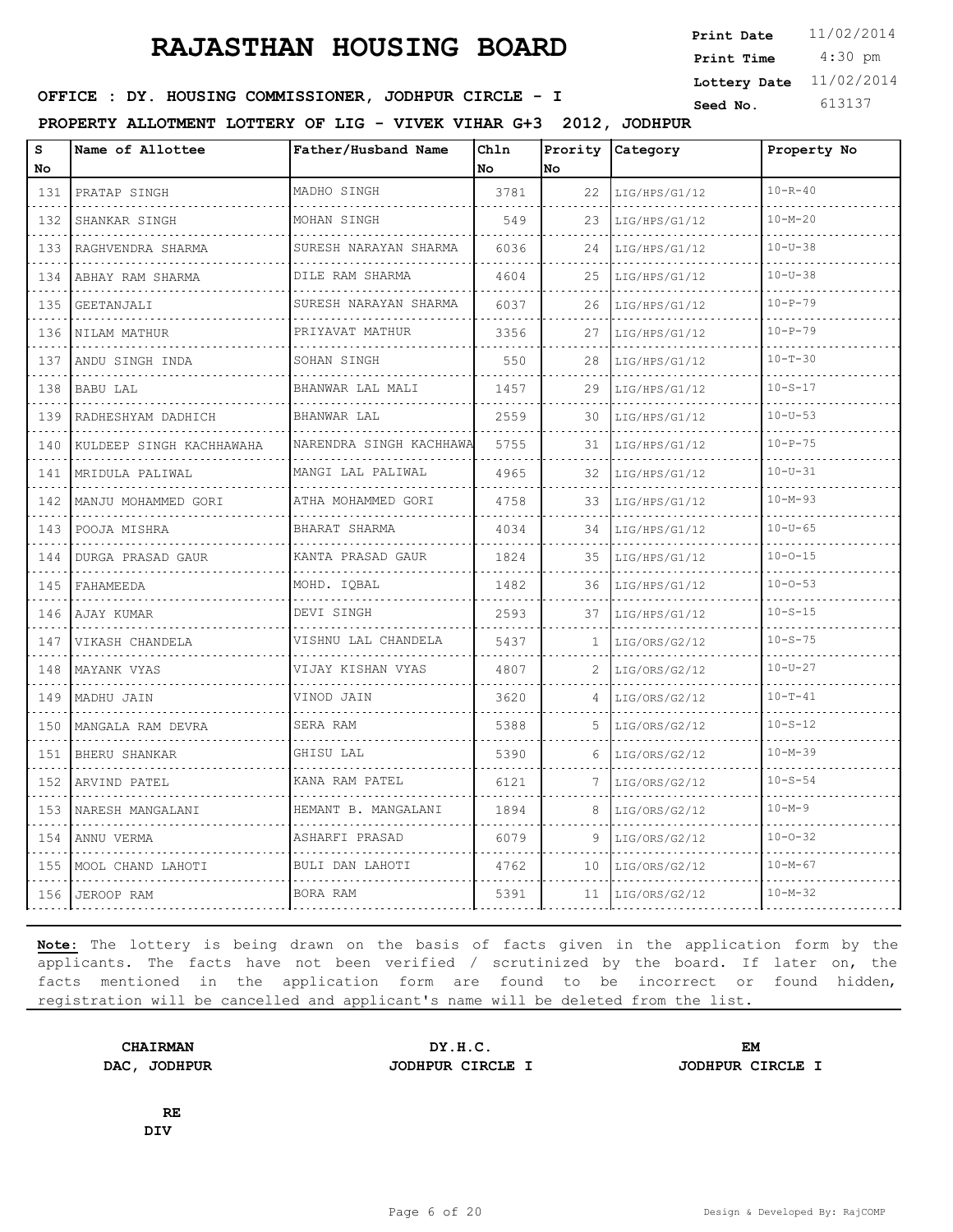4:30 pm **Print Date**  $11/02/2014$ **Print Time Lottery Date** 11/02/2014

### **SEED IN SEED IN SEED ASSESSED ASSESSED ASSESSED ASSESSED ASSESSED AT A Seed No.** 613137

**PROPERTY ALLOTMENT LOTTERY OF LIG - VIVEK VIHAR G+3 2012, JODHPUR**

| S<br>No                            | Name of Allottee         | Father/Husband Name          | Chln<br>No | Prority<br>lNo. | Category           | Property No   |
|------------------------------------|--------------------------|------------------------------|------------|-----------------|--------------------|---------------|
| 131                                | PRATAP SINGH             | MADHO SINGH                  | 3781       | 22              | LIG/HPS/G1/12      | $10 - R - 40$ |
| .<br>132                           | .<br>SHANKAR SINGH       | MOHAN SINGH                  | 549        | 23              | .<br>LIG/HPS/G1/12 | $10 - M - 20$ |
| 133                                | RAGHVENDRA SHARMA        | SURESH NARAYAN SHARMA        | 6036       | 24              | LIG/HPS/G1/12      | $10 - U - 38$ |
| 134                                | ABHAY RAM SHARMA         | DILE RAM SHARMA              | 4604       | 25              | LIG/HPS/G1/12      | $10 - U - 38$ |
| د د د د<br>135                     | GEETANJALI               | SURESH NARAYAN SHARMA        | 6037       | 26              | LIG/HPS/G1/12      | $10 - P - 79$ |
| 136                                | NILAM MATHUR             | PRIYAVAT MATHUR              | 3356       | 27              | LIG/HPS/G1/12      | $10 - P - 79$ |
| 137                                | ANDU SINGH INDA          | SOHAN SINGH                  | 550        | 28              | LIG/HPS/G1/12      | $10 - T - 30$ |
| $\sim$ $\sim$ $\sim$ $\sim$<br>138 | BABU LAL                 | <u>.</u><br>BHANWAR LAL MALI | 1457       | 29              | LIG/HPS/G1/12      | $10 - S - 17$ |
| 139                                | RADHESHYAM DADHICH       | BHANWAR LAL                  | 2559       | 30              | LIG/HPS/G1/12      | $10 - U - 53$ |
| 140                                | KULDEEP SINGH KACHHAWAHA | NARENDRA SINGH KACHHAWA      | 5755       | 31              | LIG/HPS/G1/12      | $10 - P - 75$ |
| $  -$<br>141                       | MRIDULA PALIWAL          | MANGI LAL PALIWAL            | 4965       | 32              | LIG/HPS/G1/12      | $10 - U - 31$ |
| 142                                | MANJU MOHAMMED GORI      | ATHA MOHAMMED GORI           | 4758       | 33              | LIG/HPS/G1/12      | $10 - M - 93$ |
| .<br>143                           | POOJA MISHRA             | BHARAT SHARMA                | 4034       | 34              | LIG/HPS/G1/12      | $10 - U - 65$ |
| د د د د<br>144                     | DURGA PRASAD GAUR        | .<br>KANTA PRASAD GAUR       | 1824       | 35              | LIG/HPS/G1/12      | $10 - 0 - 15$ |
| 145                                | FAHAMEEDA                | MOHD. IQBAL                  | 1482       | 36              | LIG/HPS/G1/12      | $10 - 0 - 53$ |
| 146                                | AJAY KUMAR               | DEVI SINGH                   | 2593       | 37              | LIG/HPS/G1/12      | $10 - S - 15$ |
| .<br>147                           | VIKASH CHANDELA          | VISHNU LAL CHANDELA          | 5437       | 1               | LIG/ORS/G2/12      | $10 - S - 75$ |
| 148                                | MAYANK VYAS              | VIJAY KISHAN VYAS            | 4807       | 2               | LIG/ORS/G2/12      | $10 - U - 27$ |
| 149                                | MADHU JAIN               | VINOD JAIN                   | 3620       | 4               | LIG/ORS/G2/12      | $10 - T - 41$ |
| .<br>150                           | MANGALA RAM DEVRA        | SERA RAM                     | 5388       | 5               | LIG/ORS/G2/12      | $10 - S - 12$ |
| 151                                | BHERU SHANKAR            | GHISU LAL                    | 5390       | 6               | LIG/ORS/G2/12      | $10 - M - 39$ |
| .<br>152                           | ARVIND PATEL             | KANA RAM PATEL               | 6121       | 7               | LIG/ORS/G2/12      | $10 - S - 54$ |
| .<br>153                           | NARESH MANGALANI         | HEMANT B. MANGALANI          | 1894       | 8               | LIG/ORS/G2/12      | $10 - M - 9$  |
| 154                                | ANNU VERMA               | ASHARFI PRASAD               | 6079       | 9               | LIG/ORS/G2/12      | $10 - 0 - 32$ |
| 155                                | MOOL CHAND LAHOTI        | BULI DAN LAHOTI              | 4762       | 10              | LIG/ORS/G2/12      | $10 - M - 67$ |
| 156                                | JEROOP RAM               | BORA RAM                     | 5391       | 11              | LIG/ORS/G2/12      | $10 - M - 32$ |

**Note:** The lottery is being drawn on the basis of facts given in the application form by the applicants. The facts have not been verified / scrutinized by the board. If later on, the facts mentioned in the application form are found to be incorrect or found hidden, registration will be cancelled and applicant's name will be deleted from the list.

**CHAIRMAN DY.H.C. EM DAC, JODHPUR JODHPUR CIRCLE I JODHPUR CIRCLE I**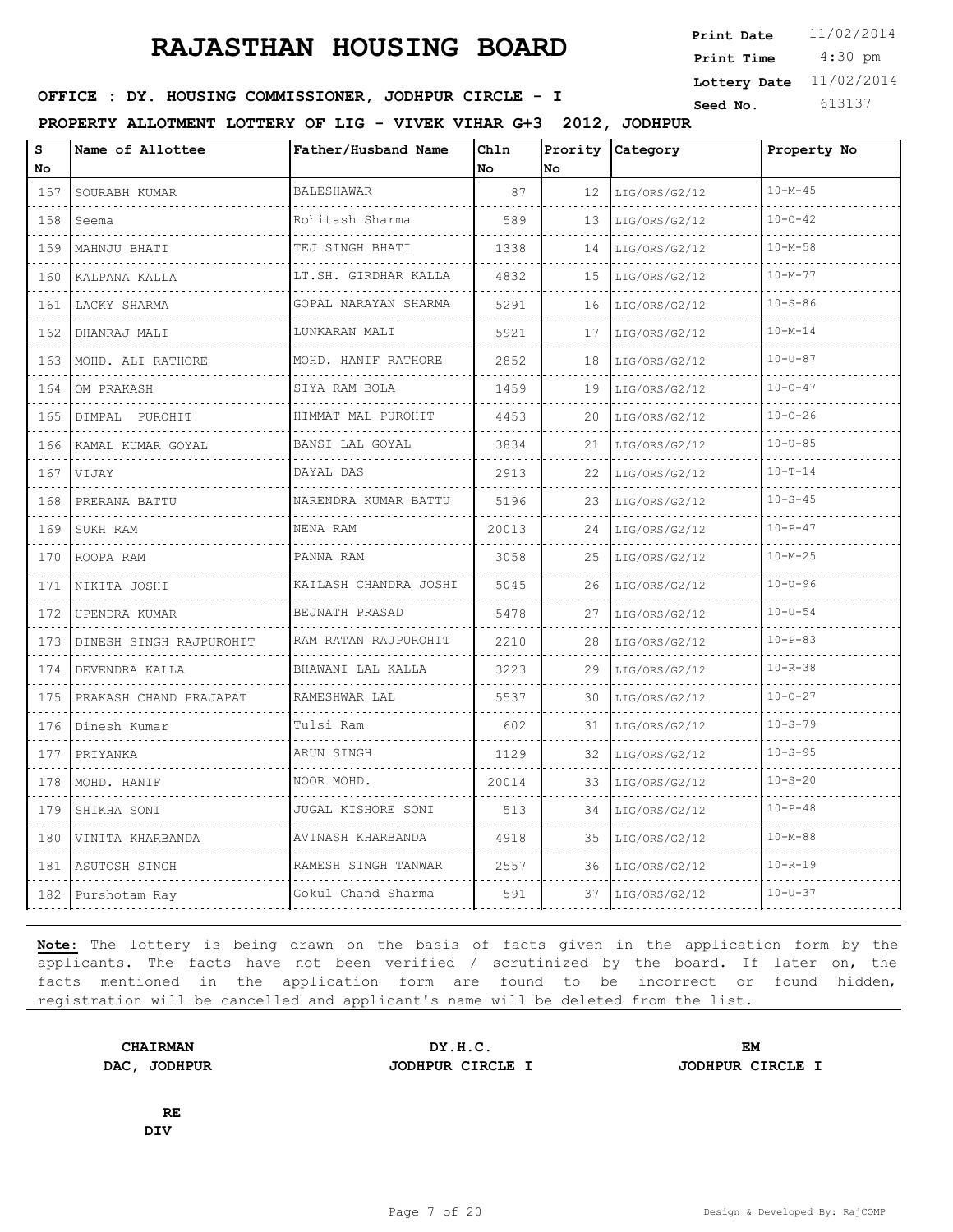4:30 pm **Print Date**  $11/02/2014$ **Print Time Lottery Date** 11/02/2014

### **SEED IN SEED IN SEED ASSESSED ASSESSED ASSESSED ASSESSED ASSESSED AT A Seed No.** 613137

**PROPERTY ALLOTMENT LOTTERY OF LIG - VIVEK VIHAR G+3 2012, JODHPUR**

| S<br>No                            | Name of Allottee        | Father/Husband Name                  | Chln<br>No | Prority<br>lno. | Category           | Property No   |
|------------------------------------|-------------------------|--------------------------------------|------------|-----------------|--------------------|---------------|
| 157                                | SOURABH KUMAR           | <b>BALESHAWAR</b>                    | 87         | 12              | LIG/ORS/G2/12      | $10 - M - 45$ |
| .<br>158                           | Seema                   | Rohitash Sharma                      | 589        | 13              | .<br>LIG/ORS/G2/12 | $10 - 0 - 42$ |
| .<br>159                           | MAHNJU BHATI            | TEJ SINGH BHATI                      | 1338       | 14              | LIG/ORS/G2/12      | $10 - M - 58$ |
| 160                                | KALPANA KALLA           | LT.SH. GIRDHAR KALLA<br>. <b>.</b> . | 4832       | 15              | LIG/ORS/G2/12      | $10 - M - 77$ |
| .<br>161                           | LACKY SHARMA            | GOPAL NARAYAN SHARMA<br>.            | 5291       | 16              | LIG/ORS/G2/12      | $10 - S - 86$ |
| 162                                | DHANRAJ MALI            | LUNKARAN MALI                        | 5921       | 17              | LIG/ORS/G2/12      | $10 - M - 14$ |
| 163                                | MOHD. ALI RATHORE       | MOHD. HANIF RATHORE                  | 2852       | 18              | LIG/ORS/G2/12      | $10 - U - 87$ |
| .<br>164                           | OM PRAKASH              | SIYA RAM BOLA                        | 1459       | 19              | LIG/ORS/G2/12      | $10 - 0 - 47$ |
| 165                                | DIMPAL PUROHIT          | HIMMAT MAL PUROHIT                   | 4453       | 20              | LIG/ORS/G2/12      | $10 - 0 - 26$ |
| 166                                | KAMAL KUMAR GOYAL       | BANSI LAL GOYAL                      | 3834       | 21              | LIG/ORS/G2/12      | $10 - U - 85$ |
| .<br>167                           | VIJAY                   | DAYAL DAS                            | 2913       | 22              | LIG/ORS/G2/12      | $10 - T - 14$ |
| 168                                | PRERANA BATTU           | NARENDRA KUMAR BATTU                 | 5196       | 23              | LIG/ORS/G2/12      | $10 - S - 45$ |
| 169                                | SUKH RAM                | NENA RAM                             | 20013      | 24              | LIG/ORS/G2/12      | $10 - P - 47$ |
| د د د د<br>170                     | ROOPA RAM               | PANNA RAM                            | 3058       | 25              | LIG/ORS/G2/12      | $10 - M - 25$ |
| 171                                | NIKITA JOSHI            | KAILASH CHANDRA JOSHI                | 5045       | 26              | LIG/ORS/G2/12      | $10 - U - 96$ |
| 172                                | UPENDRA KUMAR           | BEJNATH PRASAD                       | 5478       | 27              | LIG/ORS/G2/12      | $10 - U - 54$ |
| .<br>173                           | DINESH SINGH RAJPUROHIT | RAM RATAN RAJPUROHIT<br>.            | 2210       | 28              | LIG/ORS/G2/12      | $10 - P - 83$ |
| 174                                | DEVENDRA KALLA          | BHAWANI LAL KALLA                    | 3223       | 29              | LIG/ORS/G2/12      | $10 - R - 38$ |
| 175                                | PRAKASH CHAND PRAJAPAT  | RAMESHWAR LAL                        | 5537       | 30              | LIG/ORS/G2/12      | $10 - 0 - 27$ |
| 176                                | Dinesh Kumar            | Tulsi Ram                            | 602        | 31              | LIG/ORS/G2/12      | $10 - S - 79$ |
| 177                                | PRIYANKA                | ARUN SINGH                           | 1129       | 32              | LIG/ORS/G2/12      | $10 - S - 95$ |
| 178                                | MOHD. HANIF             | NOOR MOHD.                           | 20014      | 33              | LIG/ORS/G2/12      | $10 - S - 20$ |
| $\sim$ $\sim$ $\sim$ $\sim$<br>179 | SHIKHA SONI             | JUGAL KISHORE SONI                   | 513        | 34              | LIG/ORS/G2/12      | $10 - P - 48$ |
| 180                                | VINITA KHARBANDA        | AVINASH KHARBANDA                    | 4918       | 35              | LIG/ORS/G2/12      | $10 - M - 88$ |
| 181                                | ASUTOSH SINGH           | RAMESH SINGH TANWAR                  | 2557       | 36              | LIG/ORS/G2/12      | $10 - R - 19$ |
| 182                                | Purshotam Ray           | Gokul Chand Sharma                   | 591        | 37              | LIG/ORS/G2/12      | $10 - U - 37$ |

**Note:** The lottery is being drawn on the basis of facts given in the application form by the applicants. The facts have not been verified / scrutinized by the board. If later on, the facts mentioned in the application form are found to be incorrect or found hidden, registration will be cancelled and applicant's name will be deleted from the list.

**DAC, JODHPUR JODHPUR CIRCLE I JODHPUR CIRCLE I**

**CHAIRMAN DY.H.C. EM**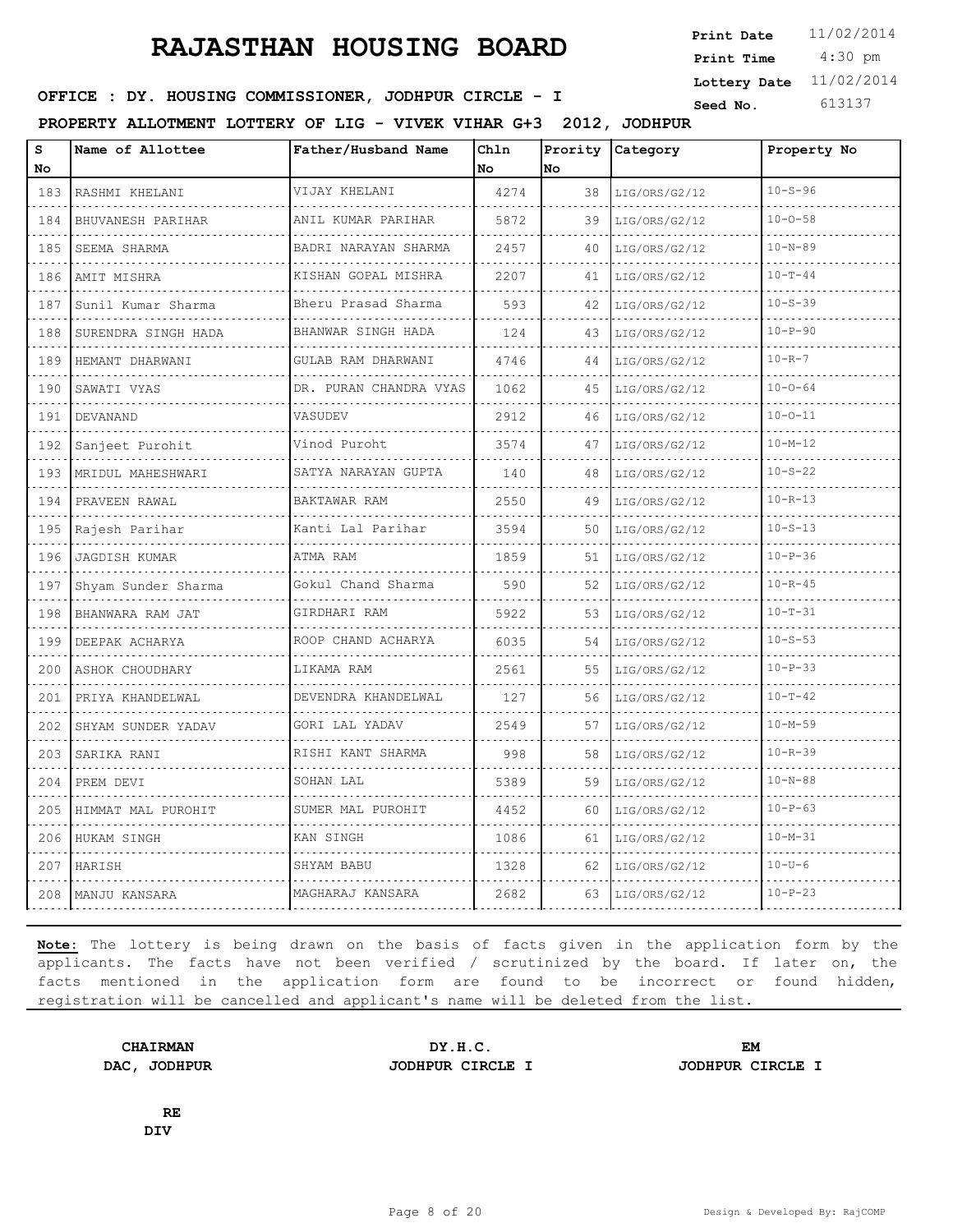4:30 pm **Print Date**  $11/02/2014$ **Print Time Lottery Date** 11/02/2014

### **SEED IN SEED IN SEED ASSESSED ASSESSED ASSESSED ASSESSED ASSESSED AT A Seed No.** 613137

**PROPERTY ALLOTMENT LOTTERY OF LIG - VIVEK VIHAR G+3 2012, JODHPUR**

| S<br>No                            | Name of Allottee              | Father/Husband Name                      | Chln<br>No | Prority<br>No | Category           | Property No   |
|------------------------------------|-------------------------------|------------------------------------------|------------|---------------|--------------------|---------------|
| 183                                | RASHMI KHELANI                | VIJAY KHELANI<br>.                       | 4274       | 38            | LIG/ORS/G2/12      | $10 - S - 96$ |
| $\sim$ $\sim$ $\sim$ $\sim$<br>184 | <u>.</u><br>BHUVANESH PARIHAR | ANIL KUMAR PARIHAR                       | 5872       | 39            | .<br>LIG/ORS/G2/12 | $10 - 0 - 58$ |
| 185                                | SEEMA SHARMA                  | .<br>BADRI NARAYAN SHARMA                | 2457       | 40            | LIG/ORS/G2/12      | $10 - N - 89$ |
| 186                                | AMIT MISHRA                   | KISHAN GOPAL MISHRA                      | 2207       | 41            | LIG/ORS/G2/12      | $10 - T - 44$ |
| $\sim 100$<br>187                  | Sunil Kumar Sharma            | .<br>Bheru Prasad Sharma                 | 593        | 42            | LIG/ORS/G2/12      | $10 - S - 39$ |
| 188                                | SURENDRA SINGH HADA           | .<br>BHANWAR SINGH HADA                  | 124        | 43            | LIG/ORS/G2/12      | $10 - P - 90$ |
| 189                                | HEMANT DHARWANI               | GULAB RAM DHARWANI                       | 4746       | 44            | LIG/ORS/G2/12      | $10 - R - 7$  |
| $\sim$ $\sim$ $\sim$ $\sim$<br>190 | SAWATI VYAS                   | .<br>DR. PURAN CHANDRA VYAS              | 1062       | 45            | LIG/ORS/G2/12      | $10 - 0 - 64$ |
| 191                                | DEVANAND                      | VASUDEV                                  | 2912       | 46            | LIG/ORS/G2/12      | $10 - 0 - 11$ |
| 192                                | Sanjeet Purohit               | Vinod Puroht                             | 3574       | 47            | LIG/ORS/G2/12      | $10 - M - 12$ |
| 193                                | MRIDUL MAHESHWARI             | dia a a a a a a a<br>SATYA NARAYAN GUPTA | 140        | 48            | LIG/ORS/G2/12      | $10 - S - 22$ |
| 194                                | PRAVEEN RAWAL                 | BAKTAWAR RAM                             | 2550       | 49            | LIG/ORS/G2/12      | $10 - R - 13$ |
| 195                                | Rajesh Parihar                | Kanti Lal Parihar                        | 3594       | 50            | LIG/ORS/G2/12      | $10 - S - 13$ |
| $\sim$<br>196                      | <b>JAGDISH KUMAR</b>          | ATMA RAM                                 | 1859       | 51            | LIG/ORS/G2/12      | $10 - P - 36$ |
| 197                                | Shyam Sunder Sharma           | Gokul Chand Sharma                       | 590        | 52            | LIG/ORS/G2/12      | $10 - R - 45$ |
| 198                                | BHANWARA RAM JAT              | GIRDHARI RAM                             | 5922       | 53            | LIG/ORS/G2/12      | $10 - T - 31$ |
| 199                                | DEEPAK ACHARYA                | ROOP CHAND ACHARYA                       | 6035       | 54            | LIG/ORS/G2/12      | $10 - S - 53$ |
| 200                                | ASHOK CHOUDHARY               | LIKAMA RAM                               | 2561       | 55            | LIG/ORS/G2/12      | $10-P-33$     |
| 201                                | PRIYA KHANDELWAL              | DEVENDRA KHANDELWAL<br>.                 | 127        | 56            | LIG/ORS/G2/12      | $10 - T - 42$ |
| 202                                | SHYAM SUNDER YADAV            | GORI LAL YADAV                           | 2549       | 57            | LIG/ORS/G2/12      | $10 - M - 59$ |
| 203                                | SARIKA RANI                   | RISHI KANT SHARMA                        | 998        | 58            | LIG/ORS/G2/12      | $10 - R - 39$ |
| 204                                | PREM DEVI                     | SOHAN LAL                                | 5389       | 59            | LIG/ORS/G2/12      | $10 - N - 88$ |
| 205                                | HIMMAT MAL PUROHIT            | SUMER MAL PUROHIT                        | 4452       | 60            | LIG/ORS/G2/12      | $10 - P - 63$ |
| 206                                | HUKAM SINGH                   | KAN SINGH                                | 1086       | 61            | LIG/ORS/G2/12      | $10 - M - 31$ |
| 207                                | HARISH                        | SHYAM BABU                               | 1328       | 62            | LIG/ORS/G2/12      | $10 - U - 6$  |
| 208                                | MANJU KANSARA                 | MAGHARAJ KANSARA                         | 2682       | 63            | LIG/ORS/G2/12      | $10-P-23$     |

**Note:** The lottery is being drawn on the basis of facts given in the application form by the applicants. The facts have not been verified / scrutinized by the board. If later on, the facts mentioned in the application form are found to be incorrect or found hidden, registration will be cancelled and applicant's name will be deleted from the list.

**CHAIRMAN DY.H.C. EM DAC, JODHPUR JODHPUR CIRCLE I JODHPUR CIRCLE I**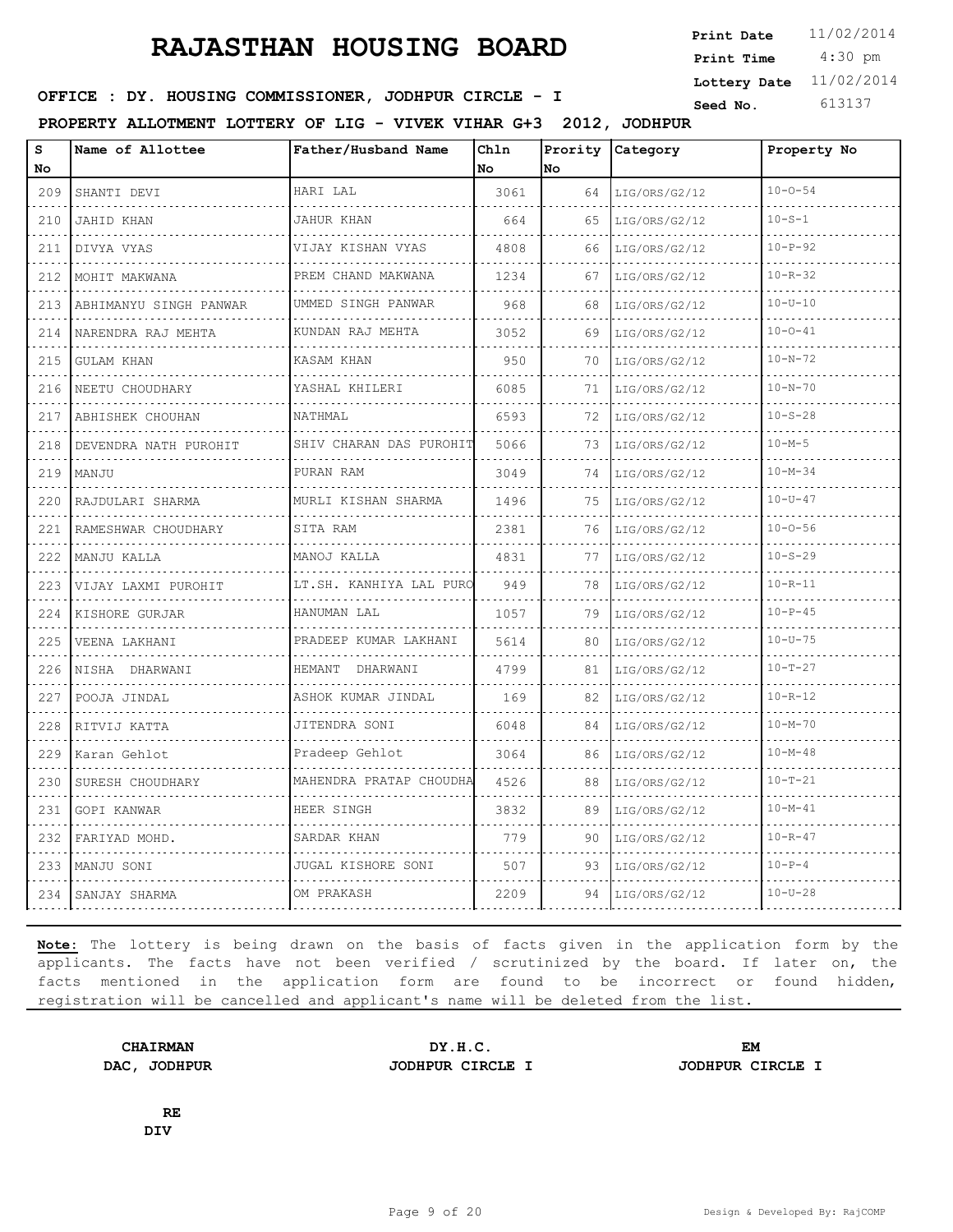4:30 pm **Print Date**  $11/02/2014$ **Print Time Lottery Date** 11/02/2014

### **SEED IDER : DY. HOUSING COMMISSIONER, JODHPUR CIRCLE - I Seed No.** 613137

**PROPERTY ALLOTMENT LOTTERY OF LIG - VIVEK VIHAR G+3 2012, JODHPUR**

| S<br>No                                                                                                                          | Name of Allottee       | Father/Husband Name        | Chln<br>No | Prority<br>No | Category           | Property No   |
|----------------------------------------------------------------------------------------------------------------------------------|------------------------|----------------------------|------------|---------------|--------------------|---------------|
| 209                                                                                                                              | SHANTI DEVI            | HARI LAL                   | 3061       | 64            | LIG/ORS/G2/12      | $10 - 0 - 54$ |
| د د د د<br>210                                                                                                                   | JAHID KHAN             | <b>JAHUR KHAN</b>          | 664        | 65            | .<br>LIG/ORS/G2/12 | $10 - S - 1$  |
| 211                                                                                                                              | DIVYA VYAS             | VIJAY KISHAN VYAS          | 4808       | 66            | LIG/ORS/G2/12      | $10 - P - 92$ |
| 212                                                                                                                              | MOHIT MAKWANA          | PREM CHAND MAKWANA         | 1234       | 67            | LIG/ORS/G2/12      | $10 - R - 32$ |
| $\frac{1}{2} \left( \frac{1}{2} \right) \left( \frac{1}{2} \right) \left( \frac{1}{2} \right) \left( \frac{1}{2} \right)$<br>213 | ABHIMANYU SINGH PANWAR | .<br>UMMED SINGH PANWAR    | 968        | 68            | LIG/ORS/G2/12      | $10 - U - 10$ |
| 214                                                                                                                              | NARENDRA RAJ MEHTA     | KUNDAN RAJ MEHTA           | 3052       | 69            | LIG/ORS/G2/12      | $10 - 0 - 41$ |
| 215                                                                                                                              | GULAM KHAN             | KASAM KHAN                 | 950        | 70            | LIG/ORS/G2/12      | $10 - N - 72$ |
| الدالد الدالدا<br>216                                                                                                            | NEETU CHOUDHARY        | YASHAL KHILERI             | 6085       | 71            | LIG/ORS/G2/12      | $10 - N - 70$ |
| 217                                                                                                                              | ABHISHEK CHOUHAN       | NATHMAL                    | 6593       | 72            | LIG/ORS/G2/12      | $10 - S - 28$ |
| 218                                                                                                                              | DEVENDRA NATH PUROHIT  | SHIV CHARAN DAS PUROHIT    | 5066       | 73            | LIG/ORS/G2/12      | $10 - M - 5$  |
| $\sim$ $\sim$ $\sim$ $\sim$<br>219                                                                                               | MANJU                  | PURAN RAM                  | 3049       | 74            | LIG/ORS/G2/12      | $10 - M - 34$ |
| 220                                                                                                                              | RAJDULARI SHARMA       | MURLI KISHAN SHARMA        | 1496       | 75            | LIG/ORS/G2/12      | $10 - U - 47$ |
| 221                                                                                                                              | RAMESHWAR CHOUDHARY    | SITA RAM                   | 2381       | 76            | LIG/ORS/G2/12      | $10 - 0 - 56$ |
| $\sim$ $\sim$ $\sim$ $\sim$<br>222                                                                                               | MANJU KALLA            | MANOJ KALLA                | 4831       | 77            | .<br>LIG/ORS/G2/12 | $10 - S - 29$ |
| 223                                                                                                                              | VIJAY LAXMI PUROHIT    | LT.SH. KANHIYA LAL PURO    | 949        | 78            | LIG/ORS/G2/12      | $10 - R - 11$ |
| 224                                                                                                                              | KISHORE GURJAR<br>.    | HANUMAN LAL                | 1057       | 79            | LIG/ORS/G2/12      | $10 - P - 45$ |
| $\omega$ , $\omega$ , $\omega$<br>225                                                                                            | VEENA LAKHANI          | PRADEEP KUMAR LAKHANI<br>. | 5614       | 80            | LIG/ORS/G2/12      | $10 - U - 75$ |
| 226                                                                                                                              | NISHA DHARWANI         | HEMANT DHARWANI            | 4799       | 81            | LIG/ORS/G2/12      | $10 - T - 27$ |
| 227                                                                                                                              | POOJA JINDAL           | ASHOK KUMAR JINDAL<br>.    | 169        | 82            | LIG/ORS/G2/12      | $10 - R - 12$ |
| 228                                                                                                                              | RITVIJ KATTA           | JITENDRA SONI              | 6048       | 84            | LIG/ORS/G2/12      | $10 - M - 70$ |
| 229                                                                                                                              | Karan Gehlot           | Pradeep Gehlot             | 3064       | 86            | LIG/ORS/G2/12      | $10 - M - 48$ |
| 230                                                                                                                              | SURESH CHOUDHARY       | MAHENDRA PRATAP CHOUDHA    | 4526       | 88            | LIG/ORS/G2/12      | $10 - T - 21$ |
| 231                                                                                                                              | GOPI KANWAR            | HEER SINGH                 | 3832       | 89            | LIG/ORS/G2/12      | $10 - M - 41$ |
| 232                                                                                                                              | FARIYAD MOHD.          | SARDAR KHAN                | 779        | 90            | LIG/ORS/G2/12      | $10 - R - 47$ |
| 233                                                                                                                              | MANJU SONI             | JUGAL KISHORE SONI         | 507        | 93            | LIG/ORS/G2/12      | $10-P-4$      |
| 234                                                                                                                              | SANJAY SHARMA          | OM PRAKASH                 | 2209       | 94            | LIG/ORS/G2/12      | $10 - U - 28$ |

**Note:** The lottery is being drawn on the basis of facts given in the application form by the applicants. The facts have not been verified / scrutinized by the board. If later on, the facts mentioned in the application form are found to be incorrect or found hidden, registration will be cancelled and applicant's name will be deleted from the list.

**CHAIRMAN DY.H.C. EM DAC, JODHPUR JODHPUR CIRCLE I JODHPUR CIRCLE I**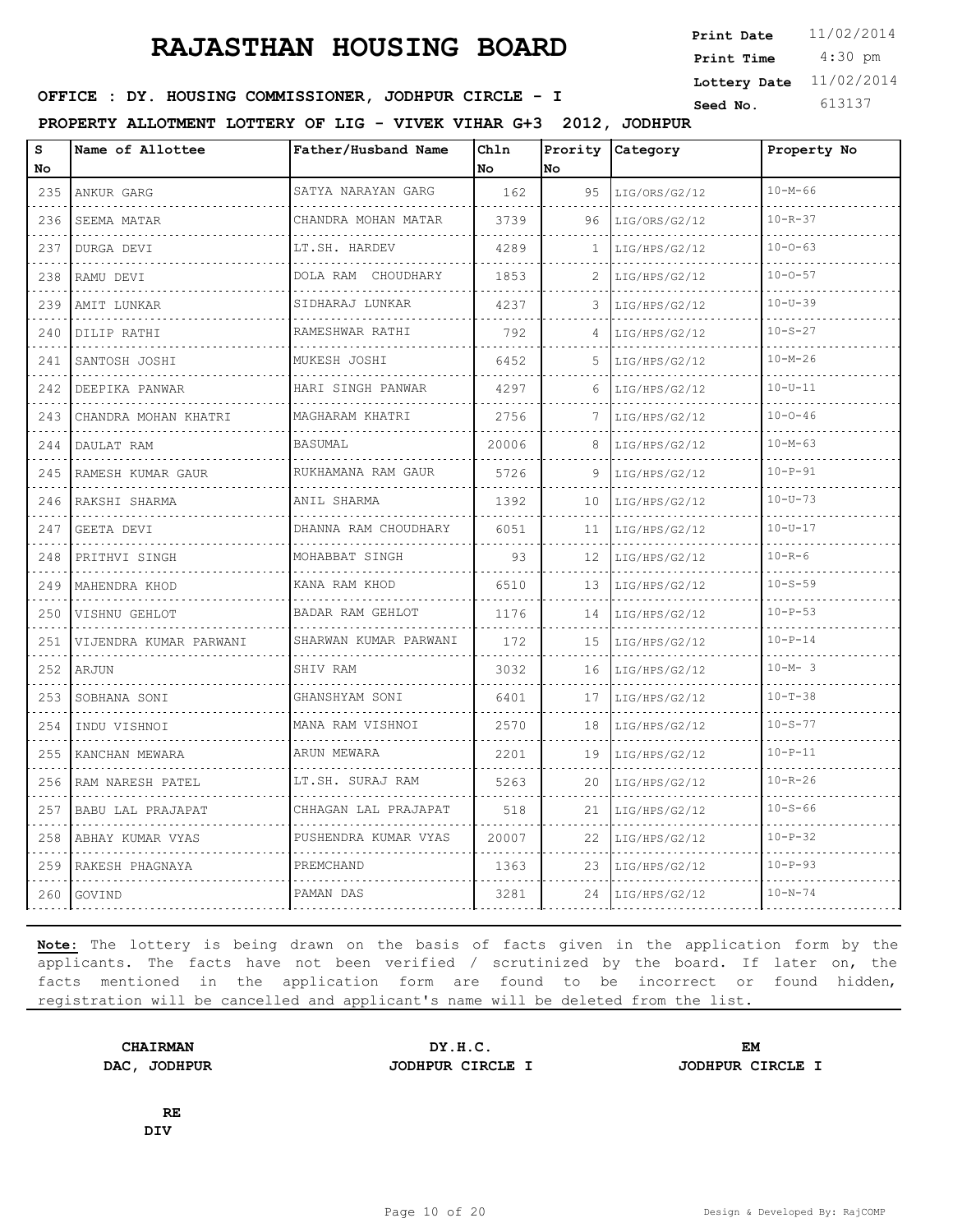4:30 pm **Print Date**  $11/02/2014$ **Print Time Lottery Date** 11/02/2014

### **SEED IN SEED IN SEED ASSESSED ASSESSED ASSESSED ASSESSED ASSESSED AT A Seed No.** 613137

**PROPERTY ALLOTMENT LOTTERY OF LIG - VIVEK VIHAR G+3 2012, JODHPUR**

| s<br>No | Name of Allottee                   | Father/Husband Name                    | Chln<br>No. | Prority<br>No | Category           | Property No   |
|---------|------------------------------------|----------------------------------------|-------------|---------------|--------------------|---------------|
| 235     | ANKUR GARG                         | SATYA NARAYAN GARG                     | 162         | 95            | LIG/ORS/G2/12      | $10 - M - 66$ |
| 236     | did did did did did<br>SEEMA MATAR | .<br>CHANDRA MOHAN MATAR               | 3739        | 96            | LIG/ORS/G2/12      | $10 - R - 37$ |
| 237     | DURGA DEVI                         | .<br>LT.SH. HARDEV                     | 4289        | 1             | LIG/HPS/G2/12      | $10 - 0 - 63$ |
| 238     | RAMU DEVI                          | DOLA RAM CHOUDHARY                     | 1853        | 2             | LIG/HPS/G2/12      | $10 - 0 - 57$ |
| 239     | AMIT LUNKAR                        | .<br>SIDHARAJ LUNKAR<br>.              | 4237        | 3             | .<br>LIG/HPS/G2/12 | $10 - U - 39$ |
| 240     | DILIP RATHI                        | RAMESHWAR RATHI                        | 792         | 4             | LIG/HPS/G2/12      | $10 - S - 27$ |
| 241     | SANTOSH JOSHI                      | MUKESH JOSHI                           | 6452        | 5.            | LIG/HPS/G2/12      | $10 - M - 26$ |
| 242     | DEEPIKA PANWAR                     | HARI SINGH PANWAR<br>dia dia dia dia 4 | 4297        | 6             | LIG/HPS/G2/12      | $10 - U - 11$ |
| 243     | CHANDRA MOHAN KHATRI               | MAGHARAM KHATRI                        | 2756        | 7             | LIG/HPS/G2/12      | $10 - 0 - 46$ |
| 244     | DAULAT RAM                         | <b>BASUMAL</b>                         | 20006       | 8             | LIG/HPS/G2/12      | $10 - M - 63$ |
| 245     | RAMESH KUMAR GAUR                  | RUKHAMANA RAM GAUR                     | 5726        | 9             | LIG/HPS/G2/12      | $10 - P - 91$ |
| 246     | RAKSHI SHARMA                      | ANIL SHARMA                            | 1392        | 10            | LIG/HPS/G2/12      | $10 - U - 73$ |
| 247     | GEETA DEVI                         | DHANNA RAM CHOUDHARY<br>.              | 6051        | 11            | LIG/HPS/G2/12<br>. | $10 - U - 17$ |
| 248     | PRITHVI SINGH                      | MOHABBAT SINGH                         | 93          | 12            | LIG/HPS/G2/12      | $10 - R - 6$  |
| 249     | MAHENDRA KHOD                      | KANA RAM KHOD                          | 6510        | 13            | LIG/HPS/G2/12      | $10 - S - 59$ |
| 250     | VISHNU GEHLOT                      | BADAR RAM GEHLOT                       | 1176        | 14            | LIG/HPS/G2/12      | $10 - P - 53$ |
| 251     | VIJENDRA KUMAR PARWANI             | SHARWAN KUMAR PARWANI                  | 172         | 15            | LIG/HPS/G2/12      | $10 - P - 14$ |
| 252     | ARJUN                              | SHIV RAM                               | 3032        | 16            | LIG/HPS/G2/12      | $10-M-3$      |
| 253     | SOBHANA SONI                       | GHANSHYAM SONI<br>.                    | 6401        | 17            | LIG/HPS/G2/12      | $10 - T - 38$ |
| 254     | INDU VISHNOI                       | MANA RAM VISHNOI                       | 2570        | 18            | LIG/HPS/G2/12      | $10 - S - 77$ |
| 255     | KANCHAN MEWARA                     | ARUN MEWARA                            | 2201        | 19            | LIG/HPS/G2/12      | $10 - P - 11$ |
| 256     | RAM NARESH PATEL                   | LT.SH. SURAJ RAM                       | 5263        | 20            | LIG/HPS/G2/12      | $10 - R - 26$ |
| 257     | BABU LAL PRAJAPAT                  | CHHAGAN LAL PRAJAPAT<br>.              | 518         | 21            | LIG/HPS/G2/12      | $10 - S - 66$ |
| 258     | ABHAY KUMAR VYAS                   | PUSHENDRA KUMAR VYAS                   | 20007       | 22            | LIG/HPS/G2/12      | $10 - P - 32$ |
| 259     | RAKESH PHAGNAYA                    | PREMCHAND                              | 1363        | 23            | LIG/HPS/G2/12      | $10 - P - 93$ |
| 260     | GOVIND                             | PAMAN DAS                              | 3281        | 24            | LIG/HPS/G2/12      | $10 - N - 74$ |

**Note:** The lottery is being drawn on the basis of facts given in the application form by the applicants. The facts have not been verified / scrutinized by the board. If later on, the facts mentioned in the application form are found to be incorrect or found hidden, registration will be cancelled and applicant's name will be deleted from the list.

**CHAIRMAN DY.H.C. EM DAC, JODHPUR JODHPUR CIRCLE I JODHPUR CIRCLE I**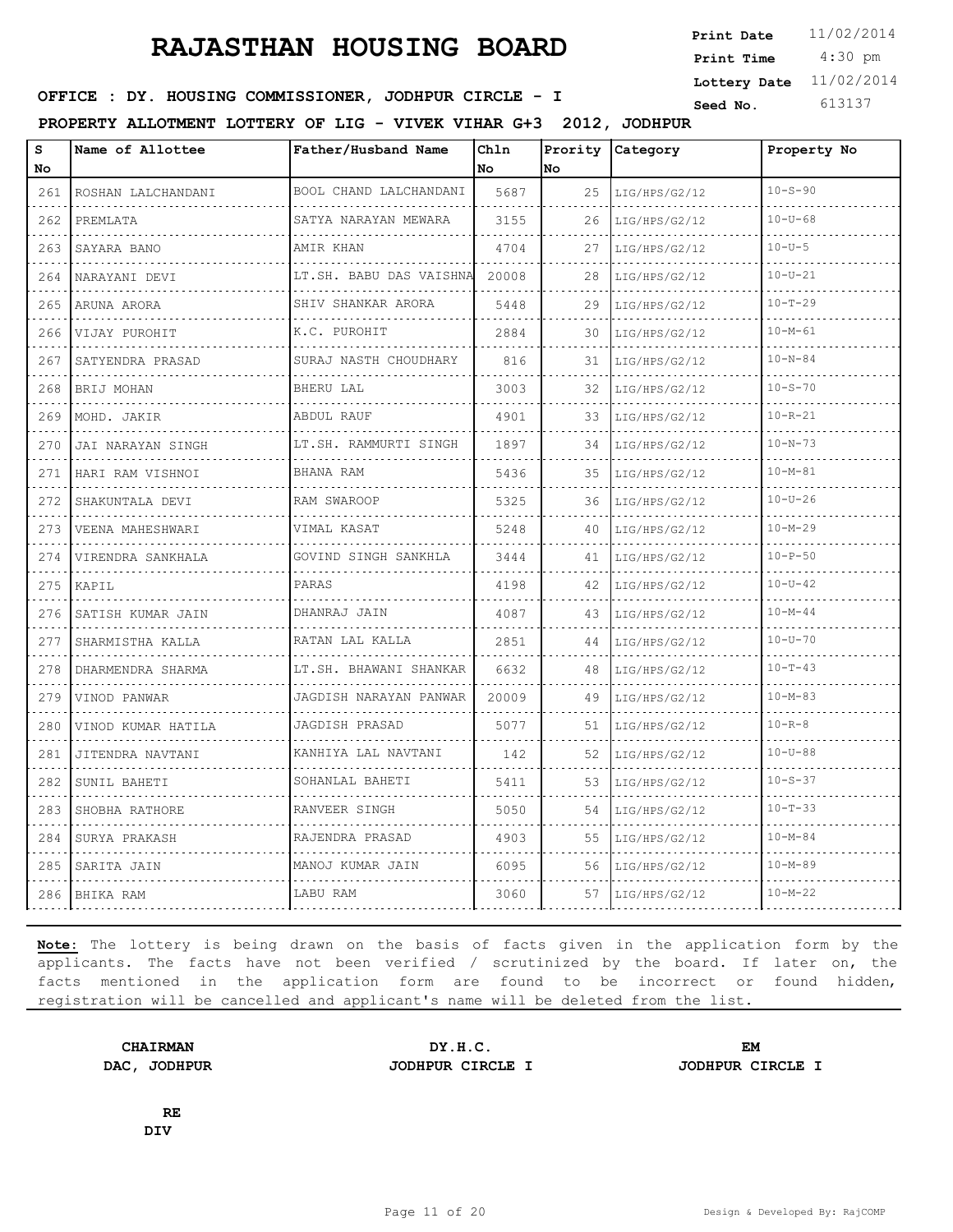4:30 pm **Print Date**  $11/02/2014$ **Print Time Lottery Date** 11/02/2014

### **SEED IN SEED IN SEED ASSESSED ASSESSED ASSESSED ASSESSED ASSESSED AT A Seed No.** 613137

**PROPERTY ALLOTMENT LOTTERY OF LIG - VIVEK VIHAR G+3 2012, JODHPUR**

| S<br>No                                                                                                                          | Name of Allottee      | Father/Husband Name         | Chln<br>No | Prority<br>No | Category           | Property No   |
|----------------------------------------------------------------------------------------------------------------------------------|-----------------------|-----------------------------|------------|---------------|--------------------|---------------|
| 261                                                                                                                              | ROSHAN LALCHANDANI    | BOOL CHAND LALCHANDANI      | 5687       | 25            | LIG/HPS/G2/12      | $10 - S - 90$ |
| 262                                                                                                                              | PREMLATA              | SATYA NARAYAN MEWARA        | 3155       | 26            | .<br>LIG/HPS/G2/12 | $10 - U - 68$ |
| 263                                                                                                                              | SAYARA BANO           | AMIR KHAN                   | 4704       | 27            | LIG/HPS/G2/12      | $10 - U - 5$  |
| 264                                                                                                                              | NARAYANI DEVI         | LT.SH. BABU DAS VAISHNA     | 20008      | 28            | LIG/HPS/G2/12      | $10 - U - 21$ |
| 265                                                                                                                              | ARUNA ARORA           | SHIV SHANKAR ARORA          | 5448       | 29            | LIG/HPS/G2/12      | $10 - T - 29$ |
| 266                                                                                                                              | VIJAY PUROHIT         | K.C. PUROHIT                | 2884       | 30            | LIG/HPS/G2/12      | $10 - M - 61$ |
| 267                                                                                                                              | SATYENDRA PRASAD      | SURAJ NASTH CHOUDHARY       | 816        | 31            | LIG/HPS/G2/12      | $10 - N - 84$ |
| 268                                                                                                                              | BRIJ MOHAN            | BHERU LAL                   | 3003       | 32            | LIG/HPS/G2/12      | $10 - S - 70$ |
| 269                                                                                                                              | MOHD. JAKIR           | ABDUL RAUF                  | 4901       | 33            | LIG/HPS/G2/12      | $10 - R - 21$ |
| 270                                                                                                                              | JAI NARAYAN SINGH     | LT.SH. RAMMURTI SINGH       | 1897       | 34            | LIG/HPS/G2/12      | $10 - N - 73$ |
| 271                                                                                                                              | HARI RAM VISHNOI      | BHANA RAM                   | 5436       | 35            | LIG/HPS/G2/12      | 10-M-81       |
| 272                                                                                                                              | SHAKUNTALA DEVI       | RAM SWAROOP                 | 5325       | 36            | LIG/HPS/G2/12      | $10 - U - 26$ |
| 273                                                                                                                              | VEENA MAHESHWARI<br>. | VIMAL KASAT                 | 5248       | 40            | LIG/HPS/G2/12<br>. | $10 - M - 29$ |
| $\sim$ $\sim$ $\sim$ $\sim$<br>274                                                                                               | VIRENDRA SANKHALA     | GOVIND SINGH SANKHLA        | 3444       | 41            | LIG/HPS/G2/12      | $10 - P - 50$ |
| 275                                                                                                                              | KAPIL                 | PARAS                       | 4198       | 42            | LIG/HPS/G2/12      | $10 - U - 42$ |
| 276                                                                                                                              | SATISH KUMAR JAIN     | DHANRAJ JAIN                | 4087       | 43            | LIG/HPS/G2/12      | $10 - M - 44$ |
| 277                                                                                                                              | .<br>SHARMISTHA KALLA | .<br>RATAN LAL KALLA        | 2851       | 44            | LIG/HPS/G2/12      | $10 - U - 70$ |
| 278                                                                                                                              | DHARMENDRA SHARMA     | .<br>LT.SH. BHAWANI SHANKAR | 6632       | 48            | LIG/HPS/G2/12      | $10 - T - 43$ |
| 279                                                                                                                              | VINOD PANWAR          | JAGDISH NARAYAN PANWAR<br>. | 20009      | 49            | LIG/HPS/G2/12      | $10 - M - 83$ |
| $\frac{1}{2} \left( \frac{1}{2} \right) \left( \frac{1}{2} \right) \left( \frac{1}{2} \right) \left( \frac{1}{2} \right)$<br>280 | VINOD KUMAR HATILA    | JAGDISH PRASAD              | 5077       | 51            | LIG/HPS/G2/12      | $10 - R - 8$  |
| 281                                                                                                                              | JITENDRA NAVTANI      | KANHIYA LAL NAVTANI         | 142        | 52            | LIG/HPS/G2/12      | $10 - U - 88$ |
| 282                                                                                                                              | SUNIL BAHETI          | SOHANLAL BAHETI             | 5411       | 53            | LIG/HPS/G2/12      | $10 - S - 37$ |
| 283                                                                                                                              | SHOBHA RATHORE        | .<br>RANVEER SINGH          | 5050       | 54            | LIG/HPS/G2/12      | $10 - T - 33$ |
| 284                                                                                                                              | SURYA PRAKASH         | RAJENDRA PRASAD             | 4903       | 55            | LIG/HPS/G2/12      | $10 - M - 84$ |
| 285                                                                                                                              | SARITA JAIN           | MANOJ KUMAR JAIN            | 6095       | 56            | LIG/HPS/G2/12      | $10 - M - 89$ |
| 286                                                                                                                              | BHIKA RAM             | LABU RAM                    | 3060       | 57            | LIG/HPS/G2/12      | $10 - M - 22$ |

**Note:** The lottery is being drawn on the basis of facts given in the application form by the applicants. The facts have not been verified / scrutinized by the board. If later on, the facts mentioned in the application form are found to be incorrect or found hidden, registration will be cancelled and applicant's name will be deleted from the list.

**CHAIRMAN DY.H.C. EM DAC, JODHPUR JODHPUR CIRCLE I JODHPUR CIRCLE I**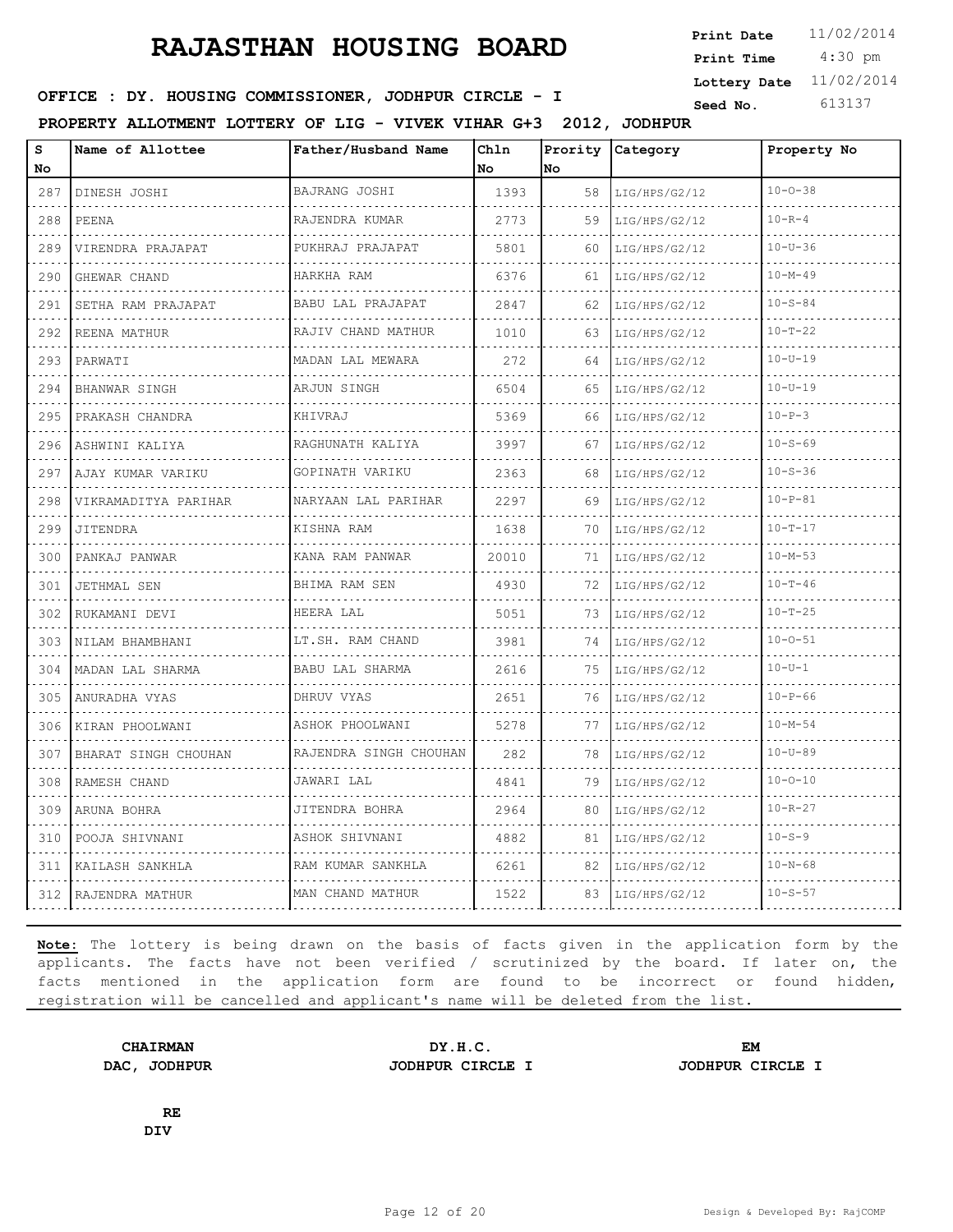4:30 pm **Print Date**  $11/02/2014$ **Print Time Lottery Date** 11/02/2014

### **SEED IN SEED IN SEED ASSESSED ASSESSED ASSESSED ASSESSED ASSESSED AT A Seed No.** 613137

**PROPERTY ALLOTMENT LOTTERY OF LIG - VIVEK VIHAR G+3 2012, JODHPUR**

| S<br>No.                          | Name of Allottee      | Father/Husband Name                | Chln<br>No. | <b>No</b> | Prority Category | Property No   |
|-----------------------------------|-----------------------|------------------------------------|-------------|-----------|------------------|---------------|
| 287                               | DINESH JOSHI          | BAJRANG JOSHI<br>.                 | 1393        | 58        | LIG/HPS/G2/12    | $10 - 0 - 38$ |
| .<br>288                          | PEENA                 | RAJENDRA KUMAR                     | 2773        | 59        | LIG/HPS/G2/12    | $10 - R - 4$  |
| 289                               | VIRENDRA PRAJAPAT     | PUKHRAJ PRAJAPAT                   | 5801        | 60        | LIG/HPS/G2/12    | $10 - U - 36$ |
| 290                               | GHEWAR CHAND          | HARKHA RAM                         | 6376        | 61        | LIG/HPS/G2/12    | $10 - M - 49$ |
| .<br>291                          | SETHA RAM PRAJAPAT    | BABU LAL PRAJAPAT                  | 2847        | 62        | LIG/HPS/G2/12    | $10 - S - 84$ |
| 292                               | REENA MATHUR          | RAJIV CHAND MATHUR<br>.            | 1010        | 63        | LIG/HPS/G2/12    | $10 - T - 22$ |
| 293                               | PARWATI               | MADAN LAL MEWARA                   | 272         | 64        | LIG/HPS/G2/12    | $10 - U - 19$ |
| .<br>294                          | BHANWAR SINGH         | ARJUN SINGH                        | 6504        | 65        | LIG/HPS/G2/12    | $10 - U - 19$ |
| 295                               | PRAKASH CHANDRA<br>.  | KHIVRAJ                            | 5369        | 66        | LIG/HPS/G2/12    | $10 - P - 3$  |
| 296                               | ASHWINI KALIYA        | RAGHUNATH KALIYA                   | 3997        | 67        | LIG/HPS/G2/12    | $10 - S - 69$ |
| 297                               | AJAY KUMAR VARIKU     | GOPINATH VARIKU                    | 2363        | 68        | LIG/HPS/G2/12    | $10 - S - 36$ |
| 298                               | VIKRAMADITYA PARIHAR  | NARYAAN LAL PARIHAR                | 2297        | 69        | LIG/HPS/G2/12    | $10 - P - 81$ |
| 299                               | JITENDRA              | KISHNA RAM                         | 1638        | 70        | LIG/HPS/G2/12    | $10 - T - 17$ |
| 300                               | PANKAJ PANWAR         | KANA RAM PANWAR                    | 20010       | 71        | LIG/HPS/G2/12    | $10 - M - 53$ |
| 301                               | JETHMAL SEN           | BHIMA RAM SEN                      | 4930        | 72        | LIG/HPS/G2/12    | $10 - T - 46$ |
| 302                               | RUKAMANI DEVI         | HEERA LAL                          | 5051        | 73        | LIG/HPS/G2/12    | $10 - T - 25$ |
| 303                               | NILAM BHAMBHANI       | LT.SH. RAM CHAND                   | 3981        | 74        | LIG/HPS/G2/12    | $10 - 0 - 51$ |
| 304                               | MADAN LAL SHARMA<br>. | BABU LAL SHARMA                    | 2616        | 75        | LIG/HPS/G2/12    | $10 - U - 1$  |
| 305                               | ANURADHA VYAS         | DHRUV VYAS                         | 2651        | 76        | LIG/HPS/G2/12    | $10 - P - 66$ |
| 306                               | KIRAN PHOOLWANI       | ASHOK PHOOLWANI                    | 5278        | 77        | LIG/HPS/G2/12    | $10 - M - 54$ |
| 307                               | BHARAT SINGH CHOUHAN  | RAJENDRA SINGH CHOUHAN<br><u>.</u> | 282         | 78        | LIG/HPS/G2/12    | $10 - U - 89$ |
| $\omega = \omega - \omega$<br>308 | RAMESH CHAND          | JAWARI LAL                         | 4841        | 79        | LIG/HPS/G2/12    | $10 - 0 - 10$ |
| 309                               | ARUNA BOHRA           | JITENDRA BOHRA                     | 2964        | 80        | LIG/HPS/G2/12    | $10 - R - 27$ |
| 310                               | POOJA SHIVNANI        | ASHOK SHIVNANI                     | 4882        | 81        | LIG/HPS/G2/12    | $10 - S - 9$  |
| 311                               | KAILASH SANKHLA       | RAM KUMAR SANKHLA                  | 6261        | 82        | LIG/HPS/G2/12    | $10 - N - 68$ |
|                                   | 312 RAJENDRA MATHUR   | MAN CHAND MATHUR                   | 1522        | 83        | LIG/HPS/G2/12    | $10 - S - 57$ |

**Note:** The lottery is being drawn on the basis of facts given in the application form by the applicants. The facts have not been verified / scrutinized by the board. If later on, the facts mentioned in the application form are found to be incorrect or found hidden, registration will be cancelled and applicant's name will be deleted from the list.

**CHAIRMAN DY.H.C. EM DAC, JODHPUR JODHPUR CIRCLE I JODHPUR CIRCLE I**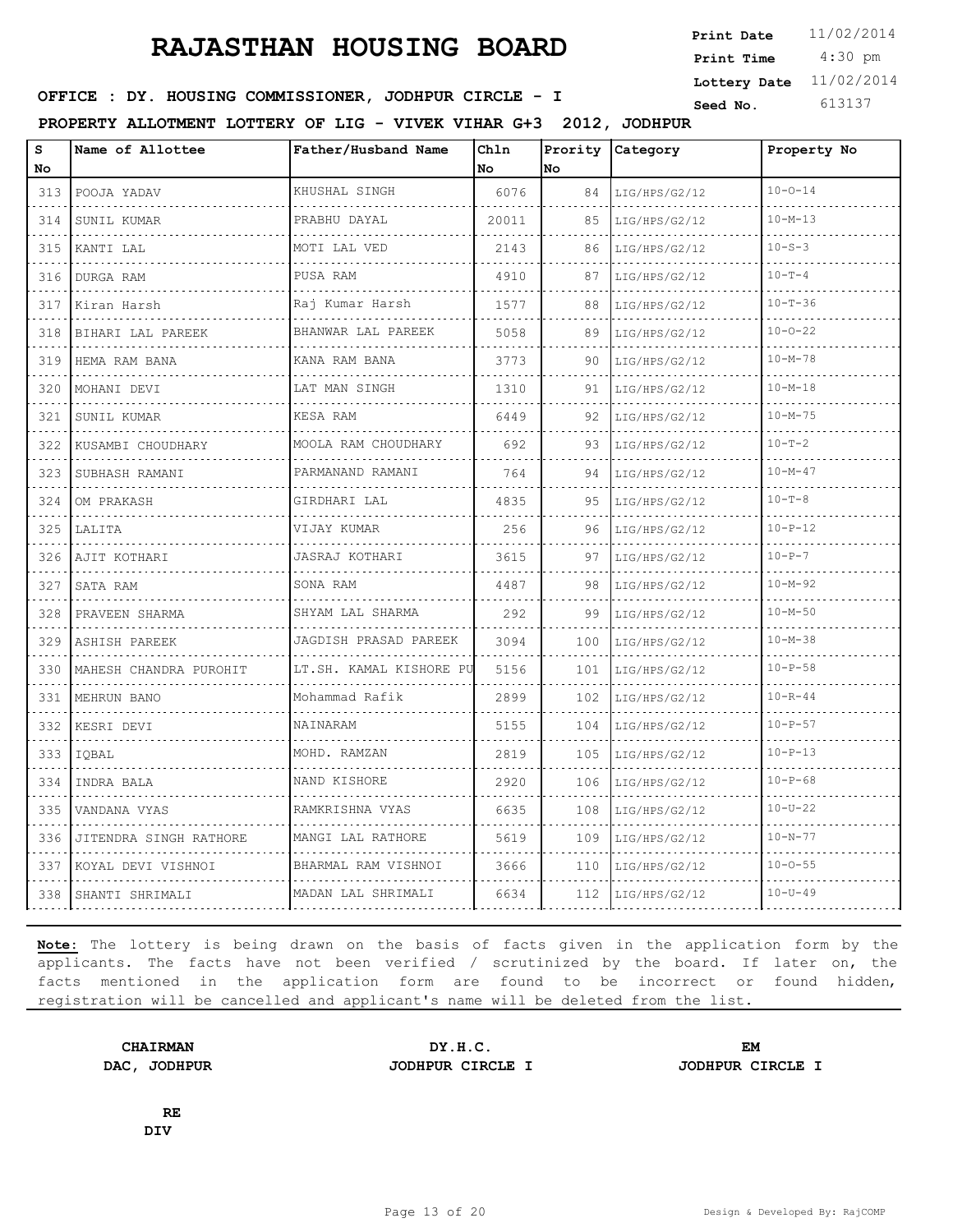4:30 pm **Print Date**  $11/02/2014$ **Print Time Lottery Date** 11/02/2014

### **SEED IN SEED IN SEED ASSESSED ASSESSED ASSESSED ASSESSED ASSESSED AT A Seed No.** 613137

**PROPERTY ALLOTMENT LOTTERY OF LIG - VIVEK VIHAR G+3 2012, JODHPUR**

| S<br>No                                                                                                                          | Name of Allottee       | Father/Husband Name     | Chln<br>No | Prority<br>No | Category      | Property No   |  |
|----------------------------------------------------------------------------------------------------------------------------------|------------------------|-------------------------|------------|---------------|---------------|---------------|--|
| 313                                                                                                                              | POOJA YADAV            | KHUSHAL SINGH           | 6076       | 84            | LIG/HPS/G2/12 | $10 - 0 - 14$ |  |
| $\sim$ $\sim$ $\sim$ $\sim$<br>314                                                                                               | SUNIL KUMAR            | .<br>PRABHU DAYAL       | 20011      | 85            | LIG/HPS/G2/12 | $10 - M - 13$ |  |
| 315                                                                                                                              | KANTI LAL              | MOTI LAL VED            | 2143       | 86            | LIG/HPS/G2/12 | $10 - S - 3$  |  |
| 316                                                                                                                              | DURGA RAM              | PUSA RAM<br><u>.</u>    | 4910       | 87            | LIG/HPS/G2/12 | $10 - T - 4$  |  |
| $\frac{1}{2} \left( \frac{1}{2} \right) \left( \frac{1}{2} \right) \left( \frac{1}{2} \right) \left( \frac{1}{2} \right)$<br>317 | Kiran Harsh            | Raj Kumar Harsh         | 1577       | 88            | LIG/HPS/G2/12 | $10 - T - 36$ |  |
| 318                                                                                                                              | BIHARI LAL PAREEK      | BHANWAR LAL PAREEK      | 5058       | 89            | LIG/HPS/G2/12 | $10 - 0 - 22$ |  |
| 319<br>المناسبات                                                                                                                 | HEMA RAM BANA          | KANA RAM BANA<br>.      | 3773       | 90            | LIG/HPS/G2/12 | $10 - M - 78$ |  |
| 320                                                                                                                              | MOHANI DEVI            | LAT MAN SINGH           | 1310       | 91            | LIG/HPS/G2/12 | $10 - M - 18$ |  |
| 321                                                                                                                              | SUNIL KUMAR            | <b>KESA RAM</b>         | 6449       | 92            | LIG/HPS/G2/12 | $10 - M - 75$ |  |
| 322<br>$\sim$ $\sim$ $\sim$ $\sim$                                                                                               | KUSAMBI CHOUDHARY      | MOOLA RAM CHOUDHARY     | 692        | 93            | LIG/HPS/G2/12 | $10 - T - 2$  |  |
| 323                                                                                                                              | SUBHASH RAMANI         | PARMANAND RAMANI        | 764        | 94            | LIG/HPS/G2/12 | $10 - M - 47$ |  |
| 324                                                                                                                              | OM PRAKASH             | GIRDHARI LAL            | 4835       | 95            | LIG/HPS/G2/12 | $10 - T - 8$  |  |
| 325                                                                                                                              | LALITA                 | VIJAY KUMAR             | 256        | 96            | LIG/HPS/G2/12 | $10 - P - 12$ |  |
| 326                                                                                                                              | AJIT KOTHARI           | <b>JASRAJ KOTHARI</b>   | 3615       | 97            | LIG/HPS/G2/12 | $10 - P - 7$  |  |
| 327                                                                                                                              | SATA RAM               | SONA RAM                | 4487       | 98            | LIG/HPS/G2/12 | $10 - M - 92$ |  |
| 328                                                                                                                              | PRAVEEN SHARMA         | SHYAM LAL SHARMA        | 292        | 99            | LIG/HPS/G2/12 | $10 - M - 50$ |  |
| 329                                                                                                                              | ASHISH PAREEK          | JAGDISH PRASAD PAREEK   | 3094       | 100           | LIG/HPS/G2/12 | $10 - M - 38$ |  |
| 330<br>$\frac{1}{2} \left( \frac{1}{2} \right) \left( \frac{1}{2} \right) \left( \frac{1}{2} \right) \left( \frac{1}{2} \right)$ | MAHESH CHANDRA PUROHIT | LT.SH. KAMAL KISHORE PU | 5156       | 101           | LIG/HPS/G2/12 | $10 - P - 58$ |  |
| 331                                                                                                                              | MEHRUN BANO            | Mohammad Rafik          | 2899       | 102           | LIG/HPS/G2/12 | $10 - R - 44$ |  |
| 332<br>$\frac{1}{2} \left( \frac{1}{2} \right) \left( \frac{1}{2} \right) \left( \frac{1}{2} \right) \left( \frac{1}{2} \right)$ | KESRI DEVI             | NAINARAM                | 5155       | 104           | LIG/HPS/G2/12 | $10 - P - 57$ |  |
| 333<br>$- - - - -$                                                                                                               | IQBAL                  | MOHD. RAMZAN            | 2819       | 105           | LIG/HPS/G2/12 | $10 - P - 13$ |  |
| 334                                                                                                                              | INDRA BALA             | NAND KISHORE            | 2920       | 106           | LIG/HPS/G2/12 | $10 - P - 68$ |  |
| 335<br>$\sim$ $\sim$ $\sim$ $\sim$                                                                                               | VANDANA VYAS           | RAMKRISHNA VYAS         | 6635       | 108           | LIG/HPS/G2/12 | $10 - U - 22$ |  |
| 336                                                                                                                              | JITENDRA SINGH RATHORE | MANGI LAL RATHORE       | 5619       | 109           | LIG/HPS/G2/12 | $10 - N - 77$ |  |
| 337                                                                                                                              | KOYAL DEVI VISHNOI     | BHARMAL RAM VISHNOI     | 3666       | 110           | LIG/HPS/G2/12 | $10 - 0 - 55$ |  |
| 338                                                                                                                              | SHANTI SHRIMALI        | MADAN LAL SHRIMALI      | 6634       | 112           | LIG/HPS/G2/12 | $10 - U - 49$ |  |

**Note:** The lottery is being drawn on the basis of facts given in the application form by the applicants. The facts have not been verified / scrutinized by the board. If later on, the facts mentioned in the application form are found to be incorrect or found hidden, registration will be cancelled and applicant's name will be deleted from the list.

**DAC, JODHPUR JODHPUR CIRCLE I JODHPUR CIRCLE I**

**CHAIRMAN DY.H.C. EM**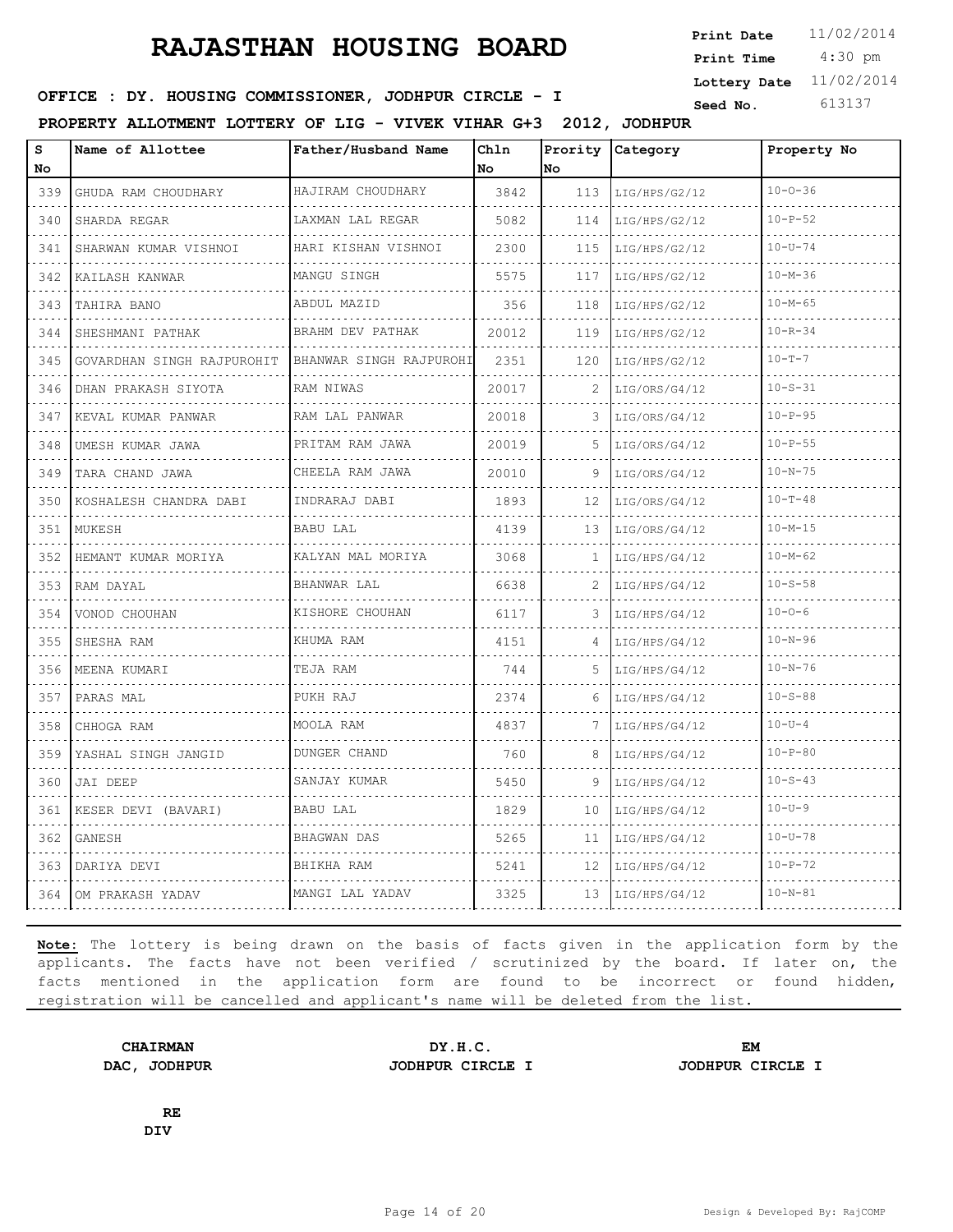4:30 pm **Print Date**  $11/02/2014$ **Print Time Lottery Date** 11/02/2014

### **SEED IN SEED IN SEED ASSESSED ASSESSED ASSESSED ASSESSED ASSESSED AT A Seed No.** 613137

**PROPERTY ALLOTMENT LOTTERY OF LIG - VIVEK VIHAR G+3 2012, JODHPUR**

| S<br>No.                                                                                                                                                    | Name of Allottee           | Father/Husband Name          | Chln<br>No | No  | Prority Category | Property No   |  |
|-------------------------------------------------------------------------------------------------------------------------------------------------------------|----------------------------|------------------------------|------------|-----|------------------|---------------|--|
| 339                                                                                                                                                         | GHUDA RAM CHOUDHARY        | HAJIRAM CHOUDHARY            | 3842       | 113 | LIG/HPS/G2/12    | $10 - 0 - 36$ |  |
| 340                                                                                                                                                         | SHARDA REGAR               | LAXMAN LAL REGAR             | 5082       | 114 | LIG/HPS/G2/12    | $10 - P - 52$ |  |
| 341                                                                                                                                                         | SHARWAN KUMAR VISHNOI      | HARI KISHAN VISHNOI          | 2300       | 115 | LIG/HPS/G2/12    | $10 - U - 74$ |  |
| 342                                                                                                                                                         | KAILASH KANWAR             | MANGU SINGH<br>.             | 5575       | 117 | LIG/HPS/G2/12    | $10 - M - 36$ |  |
| 343                                                                                                                                                         | TAHIRA BANO                | ABDUL MAZID                  | 356        | 118 | LIG/HPS/G2/12    | $10 - M - 65$ |  |
| 344                                                                                                                                                         | SHESHMANI PATHAK           | BRAHM DEV PATHAK<br><u>.</u> | 20012      | 119 | LIG/HPS/G2/12    | $10 - R - 34$ |  |
| 345                                                                                                                                                         | GOVARDHAN SINGH RAJPUROHIT | BHANWAR SINGH RAJPUROHI      | 2351       | 120 | LIG/HPS/G2/12    | $10 - T - 7$  |  |
| 346                                                                                                                                                         | DHAN PRAKASH SIYOTA        | RAM NIWAS                    | 20017      | 2   | LIG/ORS/G4/12    | $10 - S - 31$ |  |
| 347                                                                                                                                                         | KEVAL KUMAR PANWAR         | RAM LAL PANWAR<br>.          | 20018      | 3   | LIG/ORS/G4/12    | $10 - P - 95$ |  |
| $\alpha$ , $\alpha$ , $\alpha$<br>348                                                                                                                       | UMESH KUMAR JAWA           | PRITAM RAM JAWA              | 20019      | 5   | LIG/ORS/G4/12    | $10 - P - 55$ |  |
| 349                                                                                                                                                         | TARA CHAND JAWA            | CHEELA RAM JAWA              | 20010      | 9   | LIG/ORS/G4/12    | $10 - N - 75$ |  |
| 350                                                                                                                                                         | KOSHALESH CHANDRA DABI     | INDRARAJ DABI                | 1893       | 12  | LIG/ORS/G4/12    | $10 - T - 48$ |  |
| $\frac{1}{2} \left( \frac{1}{2} \right) \left( \frac{1}{2} \right) \left( \frac{1}{2} \right) \left( \frac{1}{2} \right) \left( \frac{1}{2} \right)$<br>351 | MUKESH                     | BABU LAL                     | 4139       | 13  | LIG/ORS/G4/12    | $10 - M - 15$ |  |
| 352                                                                                                                                                         | HEMANT KUMAR MORIYA        | KALYAN MAL MORIYA            | 3068       | 1   | LIG/HPS/G4/12    | $10 - M - 62$ |  |
| الدامات<br>353                                                                                                                                              | RAM DAYAL                  | BHANWAR LAL                  | 6638       | 2   | LIG/HPS/G4/12    | $10 - S - 58$ |  |
| $\frac{1}{2} \left( \frac{1}{2} \right) \left( \frac{1}{2} \right) \left( \frac{1}{2} \right) \left( \frac{1}{2} \right)$<br>354                            | VONOD CHOUHAN              | KISHORE CHOUHAN              | 6117       | 3   | LIG/HPS/G4/12    | $10 - 0 - 6$  |  |
| 355                                                                                                                                                         | SHESHA RAM                 | KHUMA RAM                    | 4151       | 4   | LIG/HPS/G4/12    | $10 - N - 96$ |  |
| .<br>356                                                                                                                                                    | MEENA KUMARI               | TEJA RAM                     | 744        | .5. | LIG/HPS/G4/12    | $10 - N - 76$ |  |
| .<br>357                                                                                                                                                    | PARAS MAL                  | PUKH RAJ                     | 2374       | 6   | LIG/HPS/G4/12    | $10 - S - 88$ |  |
| 358                                                                                                                                                         | CHHOGA RAM                 | MOOLA RAM                    | 4837       | 7   | LIG/HPS/G4/12    | $10 - U - 4$  |  |
| $  -$<br>359                                                                                                                                                | YASHAL SINGH JANGID        | DUNGER CHAND                 | 760        | 8   | LIG/HPS/G4/12    | $10 - P - 80$ |  |
| $\frac{1}{2} \left( \frac{1}{2} \right) \left( \frac{1}{2} \right) \left( \frac{1}{2} \right) \left( \frac{1}{2} \right)$<br>360                            | JAI DEEP                   | SANJAY KUMAR                 | 5450       | 9   | LIG/HPS/G4/12    | $10 - S - 43$ |  |
| 361                                                                                                                                                         | KESER DEVI (BAVARI)        | <b>BABU LAL</b>              | 1829       | 10  | LIG/HPS/G4/12    | $10 - U - 9$  |  |
| $\frac{1}{2} \left( \frac{1}{2} \right) \left( \frac{1}{2} \right) \left( \frac{1}{2} \right) \left( \frac{1}{2} \right)$<br>362                            | GANESH                     | BHAGWAN DAS                  | 5265       | 11  | LIG/HPS/G4/12    | $10 - U - 78$ |  |
| $- - - -$<br>363                                                                                                                                            | DARIYA DEVI                | BHIKHA RAM                   | 5241       | 12  | LIG/HPS/G4/12    | $10 - P - 72$ |  |
| 364                                                                                                                                                         | OM PRAKASH YADAV           | MANGI LAL YADAV              | 3325       | 13  | LIG/HPS/G4/12    | $10 - N - 81$ |  |

**Note:** The lottery is being drawn on the basis of facts given in the application form by the applicants. The facts have not been verified / scrutinized by the board. If later on, the facts mentioned in the application form are found to be incorrect or found hidden, registration will be cancelled and applicant's name will be deleted from the list.

**DAC, JODHPUR JODHPUR CIRCLE I JODHPUR CIRCLE I**

**CHAIRMAN DY.H.C. EM**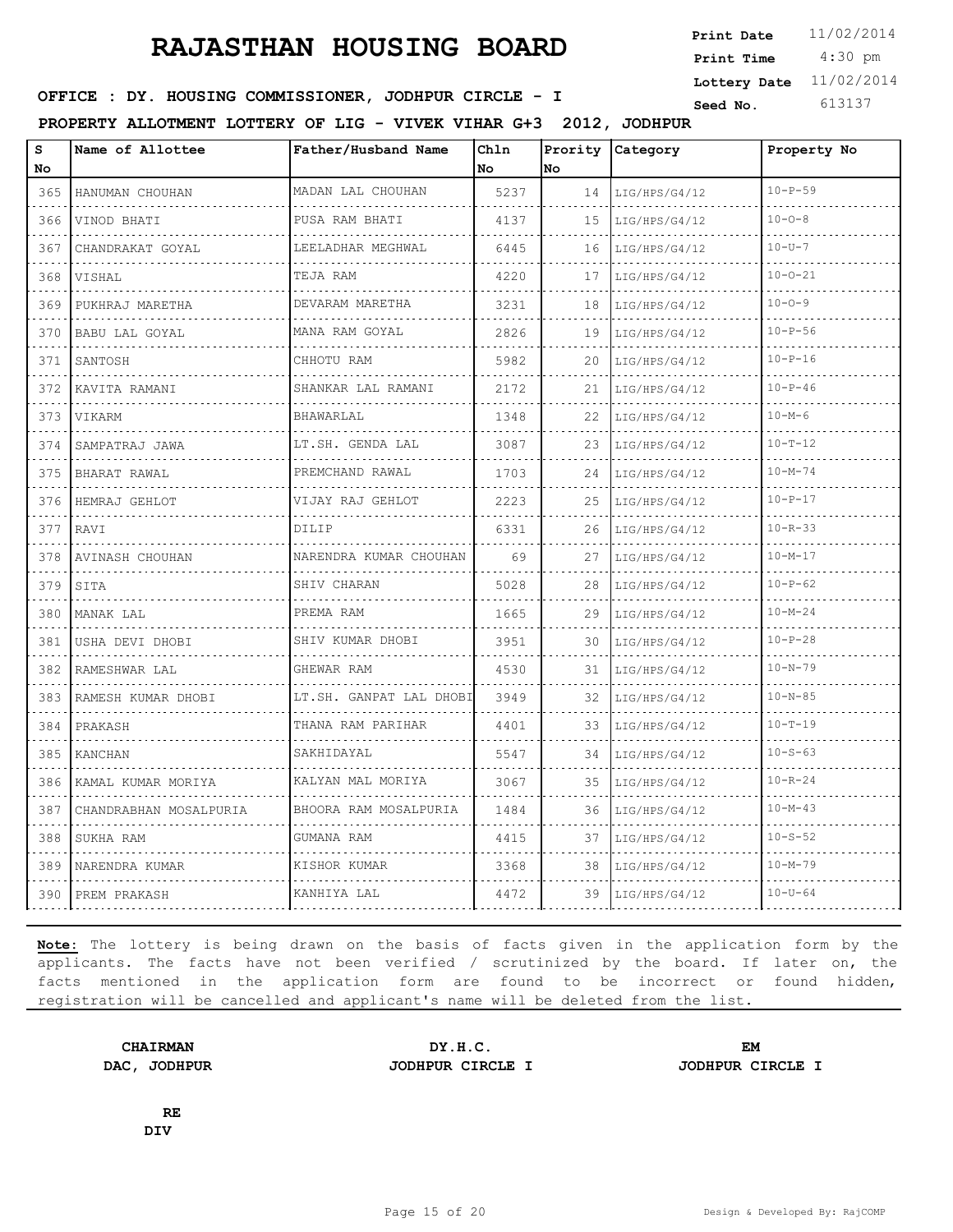4:30 pm **Print Date**  $11/02/2014$ **Print Time Lottery Date** 11/02/2014

### **SEED IN SEED IN SEED ASSESSED ASSESSED ASSESSED ASSESSED ASSESSED AT A Seed No.** 613137

**PROPERTY ALLOTMENT LOTTERY OF LIG - VIVEK VIHAR G+3 2012, JODHPUR**

| S<br>No                                                     | Name of Allottee       | Father/Husband Name         | Chln<br>No | <b>No</b> | Prority Category   | Property No   |
|-------------------------------------------------------------|------------------------|-----------------------------|------------|-----------|--------------------|---------------|
| 365                                                         | HANUMAN CHOUHAN        | MADAN LAL CHOUHAN           | 5237       | 14        | LIG/HPS/G4/12      | $10 - P - 59$ |
| .<br>366                                                    | VINOD BHATI            | PUSA RAM BHATI              | 4137       | 1.5       | LIG/HPS/G4/12      | $10 - 0 - 8$  |
| 367                                                         | CHANDRAKAT GOYAL       | LEELADHAR MEGHWAL           | 6445       | 16        | LIG/HPS/G4/12      | $10 - U - 7$  |
| 368                                                         | VISHAL                 | TEJA RAM<br>a a a a a a a a | 4220       | 17        | LIG/HPS/G4/12      | $10 - 0 - 21$ |
| 369                                                         | PUKHRAJ MARETHA        | DEVARAM MARETHA             | 3231       | 18        | .<br>LIG/HPS/G4/12 | $10 - 0 - 9$  |
| 370                                                         | BABU LAL GOYAL         | MANA RAM GOYAL<br>.         | 2826       | 19        | LIG/HPS/G4/12      | $10 - P - 56$ |
| 371                                                         | SANTOSH                | CHHOTU RAM                  | 5982       | 20        | LIG/HPS/G4/12      | $10 - P - 16$ |
| 372                                                         | KAVITA RAMANI          | SHANKAR LAL RAMANI          | 2172       | 21        | LIG/HPS/G4/12      | $10 - P - 46$ |
| 373                                                         | <b>VIKARM</b>          | <b>BHAWARLAL</b>            | 1348       | 22        | LIG/HPS/G4/12      | $10 - M - 6$  |
| 374                                                         | SAMPATRAJ JAWA         | LT.SH. GENDA LAL            | 3087       | 23        | LIG/HPS/G4/12      | $10 - T - 12$ |
| 375                                                         | BHARAT RAWAL           | PREMCHAND RAWAL             | 1703       | 24        | LIG/HPS/G4/12      | $10 - M - 74$ |
| $\sim$ $\sim$ $\sim$<br>376                                 | HEMRAJ GEHLOT          | VIJAY RAJ GEHLOT            | 2223       | 25        | LIG/HPS/G4/12      | $10 - P - 17$ |
| .<br>377                                                    | RAVI                   | DILIP                       | 6331       | 26        | LIG/HPS/G4/12      | $10 - R - 33$ |
| 378                                                         | AVINASH CHOUHAN        | NARENDRA KUMAR CHOUHAN      | 69         | 27        | LIG/HPS/G4/12      | $10 - M - 17$ |
| $\Delta$ , $\Delta$ , $\Delta$ , $\Delta$ , $\Delta$<br>379 | SITA                   | SHIV CHARAN<br>.            | 5028       | 28        | LIG/HPS/G4/12      | $10 - P - 62$ |
| 380                                                         | MANAK LAL              | PREMA RAM                   | 1665       | 29        | LIG/HPS/G4/12      | $10 - M - 24$ |
| 381                                                         | USHA DEVI DHOBI        | SHIV KUMAR DHOBI            | 3951       | 30        | LIG/HPS/G4/12      | $10 - P - 28$ |
| 382                                                         | RAMESHWAR LAL<br>.     | GHEWAR RAM<br>.             | 4530       | 31        | LIG/HPS/G4/12      | $10 - N - 79$ |
| 383                                                         | RAMESH KUMAR DHOBI     | LT.SH. GANPAT LAL DHOBI     | 3949       | 32        | LIG/HPS/G4/12      | $10 - N - 85$ |
| 384                                                         | PRAKASH                | THANA RAM PARIHAR           | 4401       | 33        | LIG/HPS/G4/12      | $10 - T - 19$ |
| 385                                                         | <b>KANCHAN</b>         | SAKHIDAYAL                  | 5547       | 34        | LIG/HPS/G4/12      | $10 - S - 63$ |
| 386                                                         | KAMAL KUMAR MORIYA     | KALYAN MAL MORIYA           | 3067       | 35        | LIG/HPS/G4/12      | $10 - R - 24$ |
| 387                                                         | CHANDRABHAN MOSALPURIA | BHOORA RAM MOSALPURIA       | 1484       | 36        | LIG/HPS/G4/12      | $10 - M - 43$ |
| 388                                                         | SUKHA RAM              | GUMANA RAM                  | 4415       | 37        | LIG/HPS/G4/12      | $10 - S - 52$ |
| 389                                                         | NARENDRA KUMAR         | KISHOR KUMAR                | 3368       | 38        | LIG/HPS/G4/12      | $10 - M - 79$ |
| 390                                                         | PREM PRAKASH           | KANHIYA LAL                 | 4472       | 39        | LIG/HPS/G4/12      | $10 - U - 64$ |

**Note:** The lottery is being drawn on the basis of facts given in the application form by the applicants. The facts have not been verified / scrutinized by the board. If later on, the facts mentioned in the application form are found to be incorrect or found hidden, registration will be cancelled and applicant's name will be deleted from the list.

**CHAIRMAN DY.H.C. EM DAC, JODHPUR JODHPUR CIRCLE I JODHPUR CIRCLE I**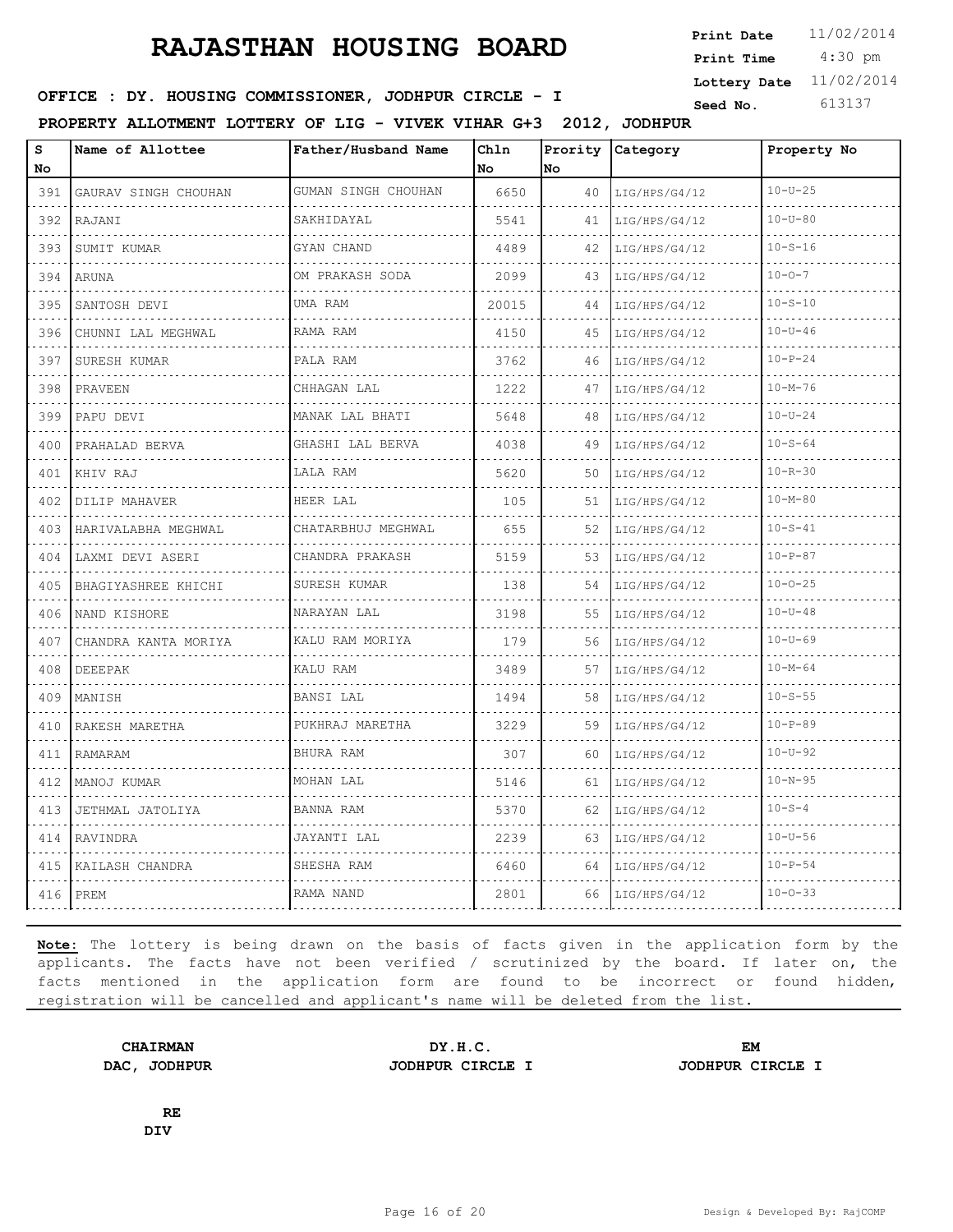4:30 pm **Print Date**  $11/02/2014$ **Print Time Lottery Date** 11/02/2014

### **SEED IN SEED IN SEED ASSESSED ASSESSED ASSESSED ASSESSED ASSESSED AT A Seed No.** 613137

**PROPERTY ALLOTMENT LOTTERY OF LIG - VIVEK VIHAR G+3 2012, JODHPUR**

| S<br>No                                                                                                                          | Name of Allottee     | Father/Husband Name     | Chln<br>No | Prority<br>lno. | Category           | Property No   |  |
|----------------------------------------------------------------------------------------------------------------------------------|----------------------|-------------------------|------------|-----------------|--------------------|---------------|--|
| 391                                                                                                                              | GAURAV SINGH CHOUHAN | GUMAN SINGH CHOUHAN     | 6650       | 40              | LIG/HPS/G4/12      | $10 - U - 25$ |  |
| .<br>392                                                                                                                         | RAJANI               | SAKHIDAYAL              | 5541       | 41              | .<br>LIG/HPS/G4/12 | $10 - U - 80$ |  |
| 393                                                                                                                              | SUMIT KUMAR          | GYAN CHAND              | 4489       | 42              | LIG/HPS/G4/12      | $10 - S - 16$ |  |
| 394                                                                                                                              | ARUNA                | OM PRAKASH SODA         | 2099       | 43              | LIG/HPS/G4/12      | $10 - 0 - 7$  |  |
| $   -$<br>395                                                                                                                    | SANTOSH DEVI         | .<br>UMA RAM            | 20015      | 44              | LIG/HPS/G4/12      | $10 - S - 10$ |  |
| 396                                                                                                                              | CHUNNI LAL MEGHWAL   | RAMA RAM                | 4150       | 45              | LIG/HPS/G4/12      | $10 - U - 46$ |  |
| 397                                                                                                                              | SURESH KUMAR         | PALA RAM                | 3762       | 46              | LIG/HPS/G4/12      | $10 - P - 24$ |  |
| الداعات<br>398                                                                                                                   | PRAVEEN              | CHHAGAN LAL             | 1222       | 47              | LIG/HPS/G4/12      | $10 - M - 76$ |  |
| 399                                                                                                                              | PAPU DEVI            | MANAK LAL BHATI         | 5648       | 48              | LIG/HPS/G4/12      | $10 - U - 24$ |  |
| 400                                                                                                                              | PRAHALAD BERVA       | GHASHI LAL BERVA        | 4038       | 49              | LIG/HPS/G4/12      | $10 - S - 64$ |  |
| $\sim$ $\sim$ $\sim$ $\sim$<br>401                                                                                               | KHIV RAJ             | LALA RAM                | 5620       | 50              | LIG/HPS/G4/12      | $10 - R - 30$ |  |
| 402                                                                                                                              | DILIP MAHAVER        | HEER LAL                | 105        | 51              | LIG/HPS/G4/12      | $10 - M - 80$ |  |
| 403                                                                                                                              | HARIVALABHA MEGHWAL  | CHATARBHUJ MEGHWAL<br>. | 655        | 52              | LIG/HPS/G4/12      | $10 - S - 41$ |  |
| $\ldots$ .<br>404                                                                                                                | LAXMI DEVI ASERI     | CHANDRA PRAKASH         | 5159       | 53              | .<br>LIG/HPS/G4/12 | $10 - P - 87$ |  |
| 405                                                                                                                              | BHAGIYASHREE KHICHI  | SURESH KUMAR            | 138        | 54              | LIG/HPS/G4/12      | $10 - 0 - 25$ |  |
| 406                                                                                                                              | NAND KISHORE<br>.    | NARAYAN LAL             | 3198       | 55              | LIG/HPS/G4/12      | $10 - U - 48$ |  |
| 407                                                                                                                              | CHANDRA KANTA MORIYA | KALU RAM MORIYA         | 179        | 56              | LIG/HPS/G4/12      | $10 - U - 69$ |  |
| 408                                                                                                                              | DEEEPAK              | KALU RAM                | 3489       | 57              | LIG/HPS/G4/12      | $10 - M - 64$ |  |
| 409                                                                                                                              | MANISH               | BANSI LAL               | 1494       | 58              | LIG/HPS/G4/12      | $10 - S - 55$ |  |
| $\frac{1}{2} \left( \frac{1}{2} \right) \left( \frac{1}{2} \right) \left( \frac{1}{2} \right) \left( \frac{1}{2} \right)$<br>410 | RAKESH MARETHA       | PUKHRAJ MARETHA         | 3229       | 59              | LIG/HPS/G4/12      | $10 - P - 89$ |  |
| 411                                                                                                                              | RAMARAM              | BHURA RAM               | 307        | 60              | LIG/HPS/G4/12      | $10 - U - 92$ |  |
| 412                                                                                                                              | MANOJ KUMAR          | MOHAN LAL               | 5146       | 61              | LIG/HPS/G4/12      | $10 - N - 95$ |  |
| 413                                                                                                                              | JETHMAL JATOLIYA     | BANNA RAM               | 5370       | 62              | LIG/HPS/G4/12      | $10 - S - 4$  |  |
| 414                                                                                                                              | RAVINDRA             | JAYANTI LAL             | 2239       | 63              | LIG/HPS/G4/12      | $10 - U - 56$ |  |
| 415                                                                                                                              | KAILASH CHANDRA      | SHESHA RAM              | 6460       | 64              | LIG/HPS/G4/12      | $10 - P - 54$ |  |
| 416                                                                                                                              | PREM                 | RAMA NAND               | 2801       | 66              | LIG/HPS/G4/12      | $10 - 0 - 33$ |  |

**Note:** The lottery is being drawn on the basis of facts given in the application form by the applicants. The facts have not been verified / scrutinized by the board. If later on, the facts mentioned in the application form are found to be incorrect or found hidden, registration will be cancelled and applicant's name will be deleted from the list.

**CHAIRMAN DY.H.C. EM DAC, JODHPUR JODHPUR CIRCLE I JODHPUR CIRCLE I**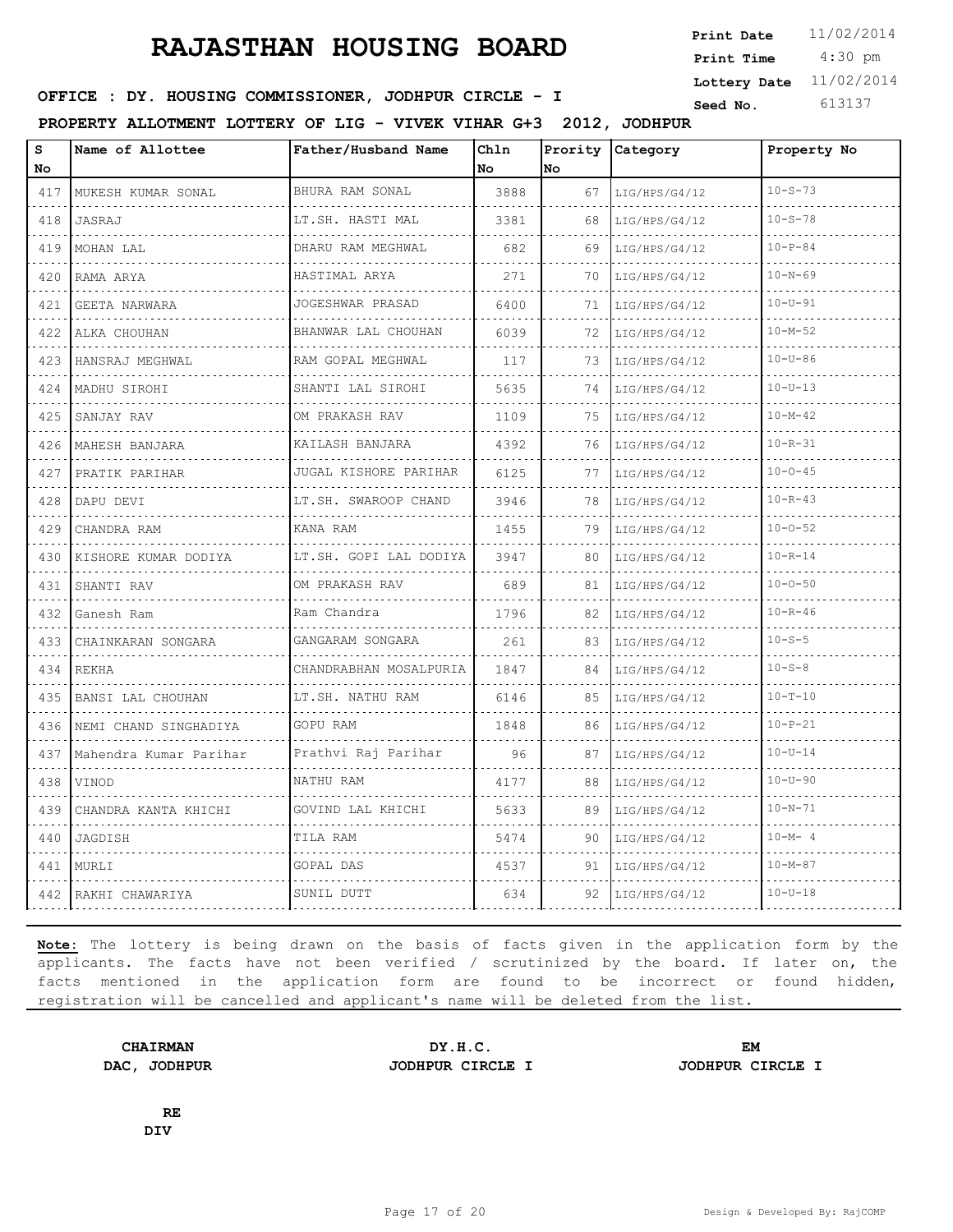4:30 pm **Print Date**  $11/02/2014$ **Print Time Lottery Date** 11/02/2014

### **SEED IN SEED IN SEED ASSESSED ASSESSED ASSESSED ASSESSED ASSESSED AT A Seed No.** 613137

**PROPERTY ALLOTMENT LOTTERY OF LIG - VIVEK VIHAR G+3 2012, JODHPUR**

| S<br>No.                                                                                                                                    | Name of Allottee       | Father/Husband Name    | Chln<br>No. | Prority<br>No. | Category           | Property No   |  |
|---------------------------------------------------------------------------------------------------------------------------------------------|------------------------|------------------------|-------------|----------------|--------------------|---------------|--|
| 417                                                                                                                                         | MUKESH KUMAR SONAL     | BHURA RAM SONAL        | 3888        | 67             | LIG/HPS/G4/12      | $10 - S - 73$ |  |
| .<br>418                                                                                                                                    | JASRAJ                 | .<br>LT.SH. HASTI MAL  | 3381        | 68             | .<br>LIG/HPS/G4/12 | $10 - S - 78$ |  |
| 419                                                                                                                                         | MOHAN LAL              | DHARU RAM MEGHWAL      | 682         | 69             | LIG/HPS/G4/12      | $10 - P - 84$ |  |
| 420                                                                                                                                         | RAMA ARYA              | HASTIMAL ARYA          | 271         | 70             | LIG/HPS/G4/12      | $10 - N - 69$ |  |
| $\sim$ $\sim$ $\sim$ $\sim$<br>421                                                                                                          | GEETA NARWARA          | .<br>JOGESHWAR PRASAD  | 6400        | 71             | LIG/HPS/G4/12      | $10 - U - 91$ |  |
| 422                                                                                                                                         | ALKA CHOUHAN           | BHANWAR LAL CHOUHAN    | 6039        | 72             | LIG/HPS/G4/12      | $10 - M - 52$ |  |
| 423                                                                                                                                         | HANSRAJ MEGHWAL        | RAM GOPAL MEGHWAL      | 117         | 73             | LIG/HPS/G4/12      | $10 - U - 86$ |  |
| $\omega$ , $\omega$ , $\omega$<br>424                                                                                                       | MADHU SIROHI           | .<br>SHANTI LAL SIROHI | 5635        | 74             | LIG/HPS/G4/12      | $10 - U - 13$ |  |
| 425                                                                                                                                         | SANJAY RAV             | OM PRAKASH RAV         | 1109        | 75             | LIG/HPS/G4/12      | $10 - M - 42$ |  |
| 426                                                                                                                                         | MAHESH BANJARA         | KAILASH BANJARA        | 4392        | 76             | LIG/HPS/G4/12      | $10 - R - 31$ |  |
| $\sim$ $\sim$ $\sim$ $\sim$<br>427                                                                                                          | PRATIK PARIHAR         | JUGAL KISHORE PARIHAR  | 6125        | 77             | LIG/HPS/G4/12      | $10 - 0 - 45$ |  |
| 428                                                                                                                                         | DAPU DEVI              | LT.SH. SWAROOP CHAND   | 3946        | 78             | LIG/HPS/G4/12      | $10 - R - 43$ |  |
| 429                                                                                                                                         | CHANDRA RAM            | KANA RAM               | 1455        | 79             | LIG/HPS/G4/12      | $10 - 0 - 52$ |  |
| $\sim$ $\sim$ $\sim$ $\sim$<br>430                                                                                                          | KISHORE KUMAR DODIYA   | LT.SH. GOPI LAL DODIYA | 3947        | 80             | LIG/HPS/G4/12      | $10 - R - 14$ |  |
| 431                                                                                                                                         | SHANTI RAV             | OM PRAKASH RAV         | 689         | 81             | LIG/HPS/G4/12      | $10 - 0 - 50$ |  |
| $\sim$ $\sim$ $\sim$ $\sim$<br>432                                                                                                          | Ganesh Ram             | Ram Chandra            | 1796        | 82             | LIG/HPS/G4/12      | $10 - R - 46$ |  |
| $\mathcal{L}^{\mathcal{A}}\left( \mathcal{A}^{\mathcal{A}}\right) =\mathcal{L}^{\mathcal{A}}\left( \mathcal{A}^{\mathcal{A}}\right)$<br>433 | CHAINKARAN SONGARA     | GANGARAM SONGARA       | 261         | 83             | LIG/HPS/G4/12      | $10 - S - 5$  |  |
| 434                                                                                                                                         | <b>REKHA</b>           | CHANDRABHAN MOSALPURIA | 1847        | 84             | LIG/HPS/G4/12      | $10 - S - 8$  |  |
| 435                                                                                                                                         | BANSI LAL CHOUHAN      | LT.SH. NATHU RAM       | 6146        | 85             | LIG/HPS/G4/12      | $10 - T - 10$ |  |
| and a state<br>436                                                                                                                          | NEMI CHAND SINGHADIYA  | GOPU RAM               | 1848        | 86             | LIG/HPS/G4/12      | $10 - P - 21$ |  |
| 437                                                                                                                                         | Mahendra Kumar Parihar | Prathvi Raj Parihar    | 96          | 87             | LIG/HPS/G4/12      | $10 - U - 14$ |  |
| $\omega$ , $\omega$ , $\omega$ , $\omega$<br>438                                                                                            | VINOD                  | NATHU RAM              | 4177        | 88             | LIG/HPS/G4/12      | $10 - U - 90$ |  |
| $\sim$ $\sim$ $\sim$ $\sim$<br>439                                                                                                          | CHANDRA KANTA KHICHI   | GOVIND LAL KHICHI      | 5633        | 89             | LIG/HPS/G4/12      | $10 - N - 71$ |  |
| 440                                                                                                                                         | JAGDISH                | TILA RAM               | 5474        | 90             | LIG/HPS/G4/12      | $10 - M - 4$  |  |
| 441                                                                                                                                         | MURLI                  | GOPAL DAS              | 4537        | 91             | LIG/HPS/G4/12      | $10 - M - 87$ |  |
|                                                                                                                                             | 442 RAKHI CHAWARIYA    | SUNIL DUTT             | 634         | 92             | LIG/HPS/G4/12      | $10 - U - 18$ |  |

**Note:** The lottery is being drawn on the basis of facts given in the application form by the applicants. The facts have not been verified / scrutinized by the board. If later on, the facts mentioned in the application form are found to be incorrect or found hidden, registration will be cancelled and applicant's name will be deleted from the list.

**CHAIRMAN DY.H.C. EM DAC, JODHPUR JODHPUR CIRCLE I JODHPUR CIRCLE I**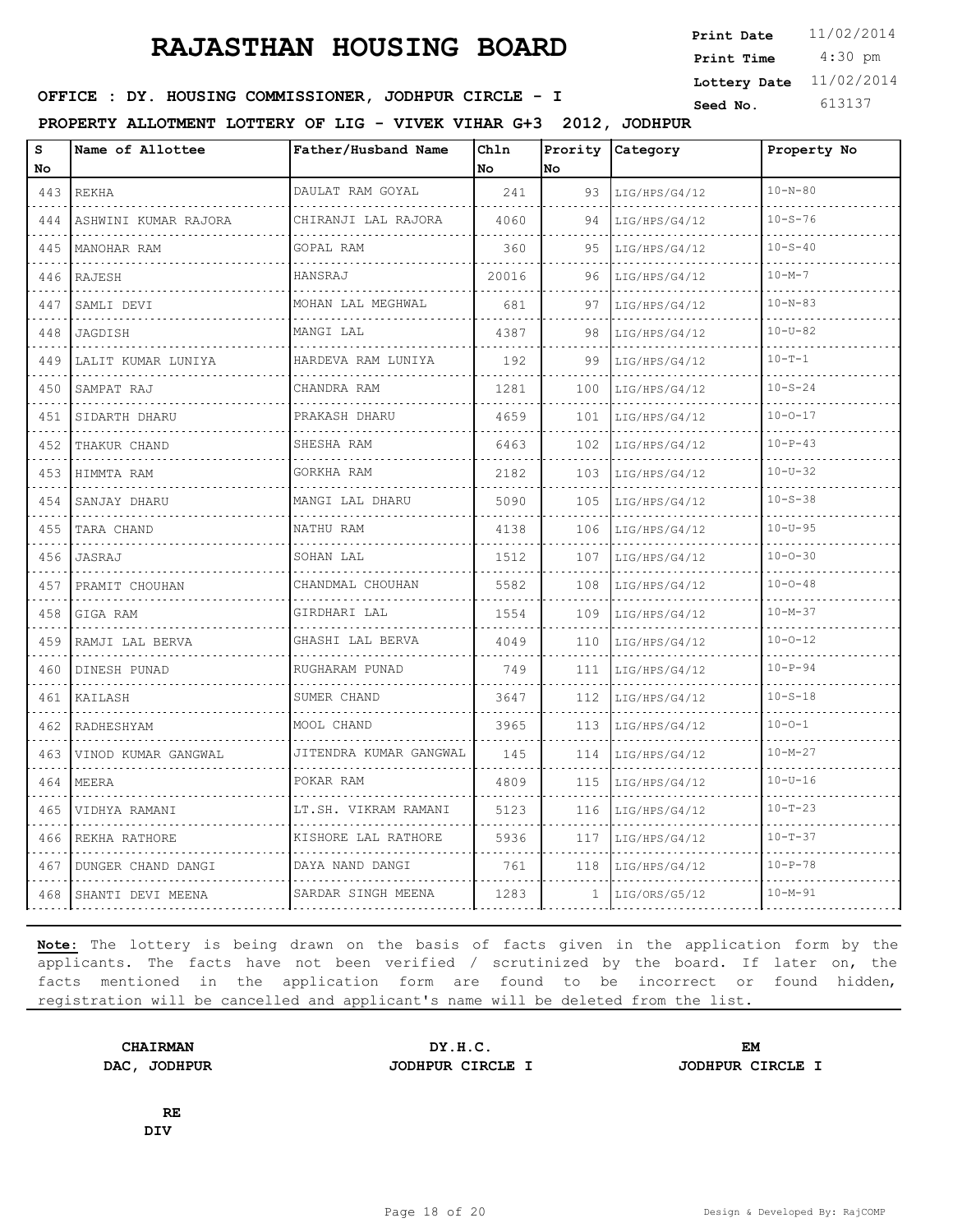4:30 pm **Print Date**  $11/02/2014$ **Print Time Lottery Date** 11/02/2014

### **SEED IN SEED IN SEED ASSESSED ASSESSED ASSESSED ASSESSED ASSESSED AT A Seed No.** 613137

**PROPERTY ALLOTMENT LOTTERY OF LIG - VIVEK VIHAR G+3 2012, JODHPUR**

| s<br>No | Name of Allottee     | Father/Husband Name      | Ch1n<br>No | Prority<br>No. | Category           | Property No   |  |
|---------|----------------------|--------------------------|------------|----------------|--------------------|---------------|--|
| 443     | <b>REKHA</b>         | DAULAT RAM GOYAL         | 241        | 93             | LIG/HPS/G4/12<br>. | $10 - N - 80$ |  |
| 444     | ASHWINI KUMAR RAJORA | CHIRANJI LAL RAJORA      | 4060       | 94             | LIG/HPS/G4/12      | $10 - S - 76$ |  |
| 445     | MANOHAR RAM          | GOPAL RAM                | 360        | 95             | LIG/HPS/G4/12      | $10 - S - 40$ |  |
| 446     | RAJESH               | HANSRAJ                  | 20016      | 96             | LIG/HPS/G4/12      | $10 - M - 7$  |  |
| 447     | SAMLI DEVI           | MOHAN LAL MEGHWAL        | 681        | 97             | LIG/HPS/G4/12      | $10 - N - 83$ |  |
| 448     | JAGDISH              | .<br>MANGI LAL           | 4387       | 98             | LIG/HPS/G4/12      | $10 - U - 82$ |  |
| 449     | LALIT KUMAR LUNIYA   | HARDEVA RAM LUNIYA       | 192        | 99             | LIG/HPS/G4/12      | $10 - T - 1$  |  |
| 450     | SAMPAT RAJ           | CHANDRA RAM              | 1281       | 100            | LIG/HPS/G4/12      | $10 - S - 24$ |  |
| 451     | SIDARTH DHARU        | PRAKASH DHARU            | 4659       | 101            | LIG/HPS/G4/12      | $10 - 0 - 17$ |  |
| 452     | THAKUR CHAND         | SHESHA RAM               | 6463       | 102            | LIG/HPS/G4/12      | $10-P-43$     |  |
| 453     | HIMMTA RAM           | GORKHA RAM               | 2182       | 103            | LIG/HPS/G4/12      | $10 - U - 32$ |  |
| 454     | SANJAY DHARU         | MANGI LAL DHARU          | 5090       | 105            | LIG/HPS/G4/12      | $10 - S - 38$ |  |
| 455     | TARA CHAND           | NATHU RAM                | 4138       | 106            | LIG/HPS/G4/12      | $10 - U - 95$ |  |
| 456     | JASRAJ               | SOHAN LAL                | 1512       | 107            | LIG/HPS/G4/12      | $10 - 0 - 30$ |  |
| 457     | PRAMIT CHOUHAN       | CHANDMAL CHOUHAN         | 5582       | 108            | LIG/HPS/G4/12      | $10 - 0 - 48$ |  |
| 458     | GIGA RAM             | GIRDHARI LAL             | 1554       | 109            | LIG/HPS/G4/12      | $10 - M - 37$ |  |
| 459     | RAMJI LAL BERVA      | .<br>GHASHI LAL BERVA    | 4049       | 110            | LIG/HPS/G4/12      | $10 - 0 - 12$ |  |
| 460     | DINESH PUNAD         | RUGHARAM PUNAD           | 749        | 111            | LIG/HPS/G4/12      | $10 - P - 94$ |  |
| 461     | KAILASH              | SUMER CHAND              | 3647       | 112            | LIG/HPS/G4/12      | $10 - S - 18$ |  |
| 462     | RADHESHYAM           | MOOL CHAND               | 3965       | 113            | LIG/HPS/G4/12      | $10 - 0 - 1$  |  |
| 463     | VINOD KUMAR GANGWAL  | JITENDRA KUMAR GANGWAL   | 145        | 114            | LIG/HPS/G4/12      | $10 - M - 27$ |  |
| 464     | MEERA                | POKAR RAM                | 4809       | 115            | LIG/HPS/G4/12      | $10 - U - 16$ |  |
| 465     | VIDHYA RAMANI        | LT.SH. VIKRAM RAMANI     | 5123       | 116            | LIG/HPS/G4/12      | $10 - T - 23$ |  |
| 466     | REKHA RATHORE        | .<br>KISHORE LAL RATHORE | 5936       | 117            | LIG/HPS/G4/12      | $10 - T - 37$ |  |
| 467     | DUNGER CHAND DANGI   | DAYA NAND DANGI          | 761        | 118            | LIG/HPS/G4/12      | $10 - P - 78$ |  |
| 468     | SHANTI DEVI MEENA    | SARDAR SINGH MEENA       | 1283       | 1              | LIG/ORS/G5/12      | $10 - M - 91$ |  |

**Note:** The lottery is being drawn on the basis of facts given in the application form by the applicants. The facts have not been verified / scrutinized by the board. If later on, the facts mentioned in the application form are found to be incorrect or found hidden, registration will be cancelled and applicant's name will be deleted from the list.

**CHAIRMAN DY.H.C. EM DAC, JODHPUR JODHPUR CIRCLE I JODHPUR CIRCLE I**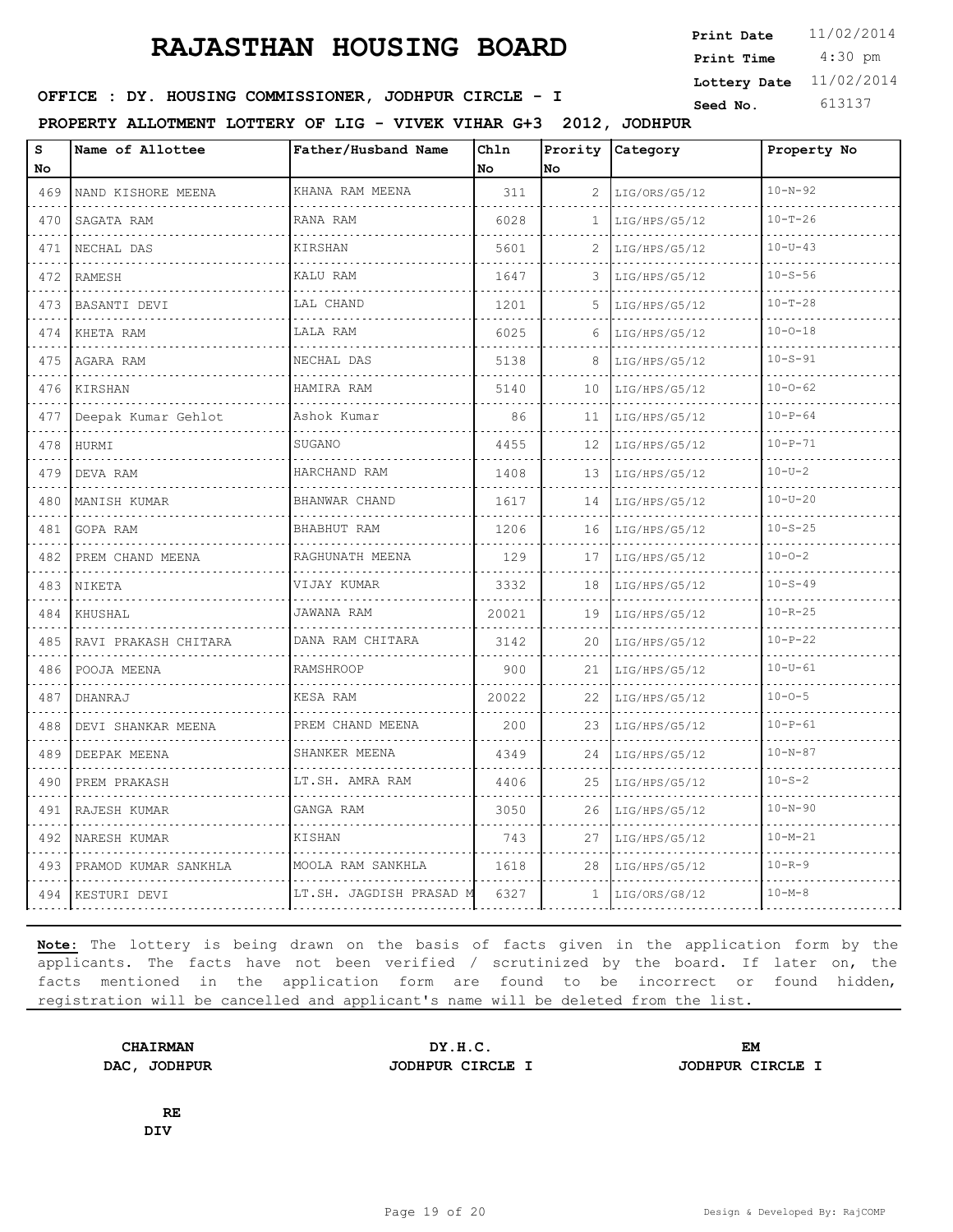4:30 pm **Print Date**  $11/02/2014$ **Print Time Lottery Date** 11/02/2014

### **SEED IN SEED IN SEED ASSESSED ASSESSED ASSESSED ASSESSED ASSESSED AT A Seed No.** 613137

**PROPERTY ALLOTMENT LOTTERY OF LIG - VIVEK VIHAR G+3 2012, JODHPUR**

| S<br>No                                                                                                                                                     | Name of Allottee     | Father/Husband Name     | Chln<br>No | Prority<br>No | Category           | Property No   |  |
|-------------------------------------------------------------------------------------------------------------------------------------------------------------|----------------------|-------------------------|------------|---------------|--------------------|---------------|--|
| 469                                                                                                                                                         | NAND KISHORE MEENA   | KHANA RAM MEENA         | 311        | 2             | LIG/ORS/G5/12<br>. | $10 - N - 92$ |  |
| $\sim$ $\sim$ $\sim$ $\sim$<br>470                                                                                                                          | SAGATA RAM           | RANA RAM                | 6028       | 1             | LIG/HPS/G5/12      | $10 - T - 26$ |  |
| 471                                                                                                                                                         | NECHAL DAS           | KIRSHAN                 | 5601       | 2             | LIG/HPS/G5/12      | $10-U-43$     |  |
| $\sim$ $\sim$ $\sim$<br>472                                                                                                                                 | RAMESH               | KALU RAM                | 1647       | 3             | LIG/HPS/G5/12      | $10 - S - 56$ |  |
| $\frac{1}{2} \left( \frac{1}{2} \right) \left( \frac{1}{2} \right) \left( \frac{1}{2} \right) \left( \frac{1}{2} \right)$<br>473                            | <b>BASANTI DEVI</b>  | LAL CHAND               | 1201       | 5.            | LIG/HPS/G5/12      | $10 - T - 28$ |  |
| 474                                                                                                                                                         | KHETA RAM            | LALA RAM                | 6025       | 6             | LIG/HPS/G5/12      | $10 - 0 - 18$ |  |
| 475<br>$\omega$ , $\omega$ , $\omega$ , $\omega$                                                                                                            | AGARA RAM            | NECHAL DAS<br>.         | 5138       | 8             | LIG/HPS/G5/12      | $10 - S - 91$ |  |
| 476                                                                                                                                                         | KIRSHAN              | HAMIRA RAM              | 5140       | 10            | LIG/HPS/G5/12      | $10 - 0 - 62$ |  |
| 477                                                                                                                                                         | Deepak Kumar Gehlot  | Ashok Kumar             | 86         | 11            | LIG/HPS/G5/12      | $10 - P - 64$ |  |
| 478<br>$\sim$ $\sim$ $\sim$ $\sim$                                                                                                                          | HURMI                | SUGANO                  | 4455       | 12            | LIG/HPS/G5/12      | $10 - P - 71$ |  |
| 479                                                                                                                                                         | DEVA RAM             | HARCHAND RAM            | 1408       | 13            | LIG/HPS/G5/12      | $10 - U - 2$  |  |
| 480                                                                                                                                                         | MANISH KUMAR         | BHANWAR CHAND           | 1617       | 14            | LIG/HPS/G5/12      | $10 - U - 20$ |  |
| $\frac{1}{2} \left( \frac{1}{2} \right) \left( \frac{1}{2} \right) \left( \frac{1}{2} \right) \left( \frac{1}{2} \right) \left( \frac{1}{2} \right)$<br>481 | GOPA RAM             | BHABHUT RAM             | 1206       | 16            | LIG/HPS/G5/12      | $10 - S - 25$ |  |
| الداعات الداري<br>482                                                                                                                                       | PREM CHAND MEENA     | RAGHUNATH MEENA         | 129        | 17            | LIG/HPS/G5/12      | $10 - 0 - 2$  |  |
| 483                                                                                                                                                         | NIKETA               | VIJAY KUMAR             | 3332       | 18            | LIG/HPS/G5/12      | $10 - S - 49$ |  |
| 484                                                                                                                                                         | KHUSHAL              | JAWANA RAM              | 20021      | 19            | LIG/HPS/G5/12      | $10 - R - 25$ |  |
| $\mathcal{L}^{\mathcal{A}}\left( \mathcal{A}^{\mathcal{A}}\right) =\mathcal{L}^{\mathcal{A}}\left( \mathcal{A}^{\mathcal{A}}\right)$<br>485                 | RAVI PRAKASH CHITARA | DANA RAM CHITARA        | 3142       | 20            | LIG/HPS/G5/12      | $10-P-22$     |  |
| 486                                                                                                                                                         | POOJA MEENA          | RAMSHROOP               | 900        | 21            | LIG/HPS/G5/12      | $10 - U - 61$ |  |
| 487<br>$\sim$ $\sim$ $\sim$ $\sim$                                                                                                                          | DHANRAJ              | KESA RAM                | 20022      | 22            | LIG/HPS/G5/12      | $10 - 0 - 5$  |  |
| 488                                                                                                                                                         | DEVI SHANKAR MEENA   | PREM CHAND MEENA        | 200        | 23            | LIG/HPS/G5/12      | $10 - P - 61$ |  |
| 489                                                                                                                                                         | DEEPAK MEENA<br>.    | SHANKER MEENA<br>.      | 4349       | 24            | LIG/HPS/G5/12      | $10 - N - 87$ |  |
| 490                                                                                                                                                         | PREM PRAKASH         | LT.SH. AMRA RAM         | 4406       | 25            | LIG/HPS/G5/12      | $10 - S - 2$  |  |
| 491                                                                                                                                                         | RAJESH KUMAR         | GANGA RAM               | 3050       | 26            | LIG/HPS/G5/12      | $10 - N - 90$ |  |
| .<br>492                                                                                                                                                    | NARESH KUMAR         | KISHAN                  | 743        | 27            | LIG/HPS/G5/12      | $10 - M - 21$ |  |
| 493                                                                                                                                                         | PRAMOD KUMAR SANKHLA | MOOLA RAM SANKHLA       | 1618       | 28            | LIG/HPS/G5/12      | $10 - R - 9$  |  |
|                                                                                                                                                             | 494   KESTURI DEVI   | LT.SH. JAGDISH PRASAD M | 6327       | $\mathbf{1}$  | LIG/ORS/G8/12      | $10 - M - 8$  |  |

**Note:** The lottery is being drawn on the basis of facts given in the application form by the applicants. The facts have not been verified / scrutinized by the board. If later on, the facts mentioned in the application form are found to be incorrect or found hidden, registration will be cancelled and applicant's name will be deleted from the list.

**CHAIRMAN DY.H.C. EM DAC, JODHPUR JODHPUR CIRCLE I JODHPUR CIRCLE I**